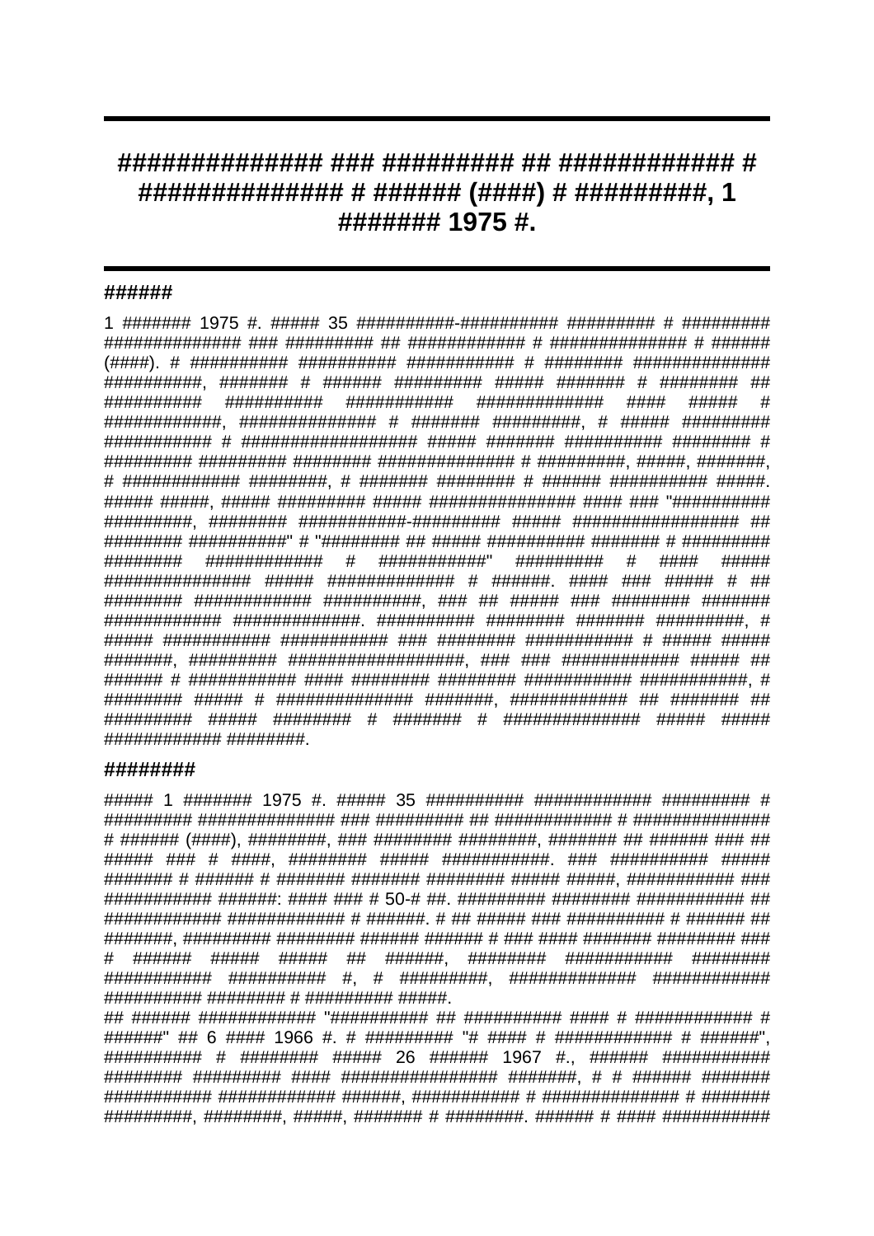# ####### 1975 #

### ######

 $#$ ############# #########

### ########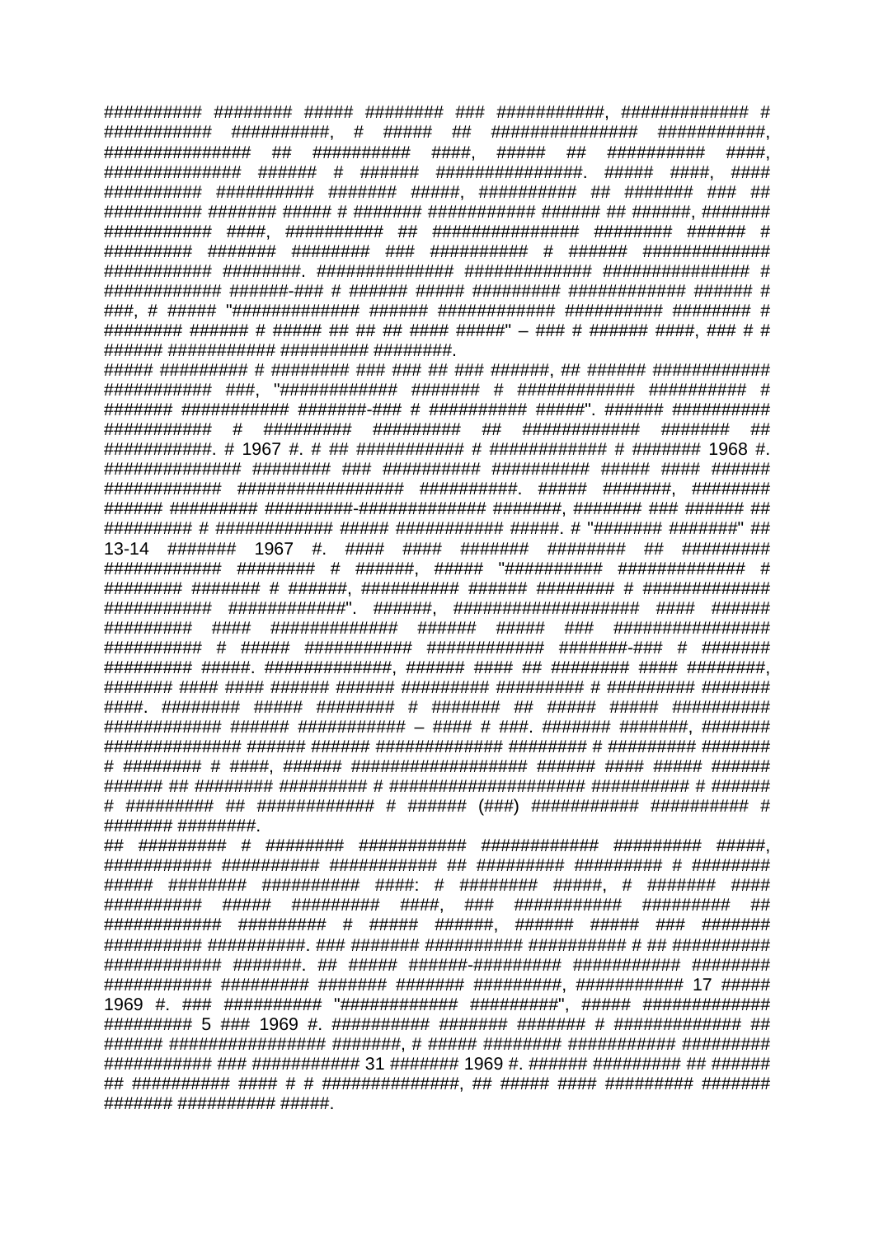######## #########

######## ########### ######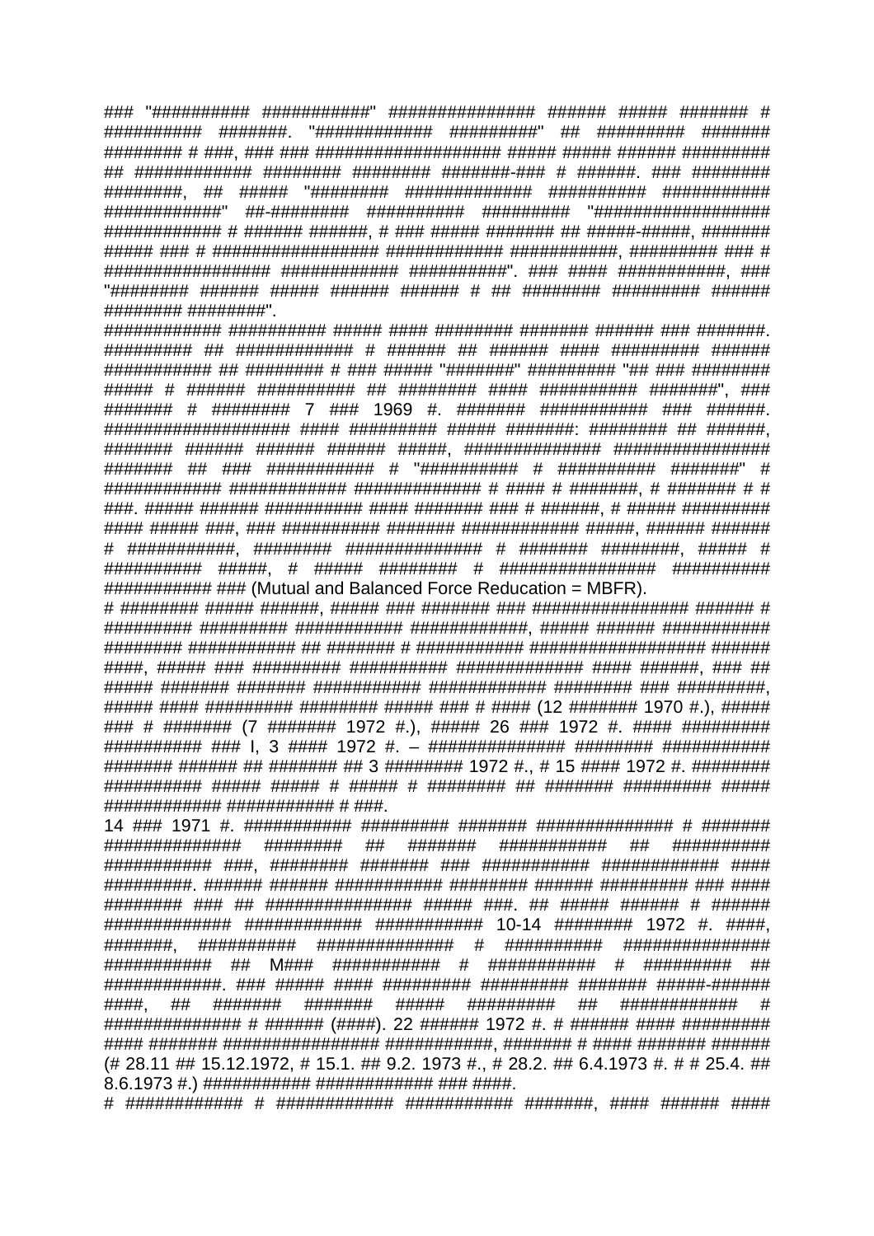######### #########".

############ ### (Mutual and Balanced Force Reducation = MBFR).

### # ######## (7 ####### 1972 #.), ##### 26 ### 1972 #. #### ########## ############# ############ # ###.

## ########## (# 28.11 ## 15.12.1972, # 15.1. ## 9.2. 1973 #., # 28.2. ## 6.4.1973 #. # # 25.4. ## 8.6.1973 #.) ############ ############# ### ####.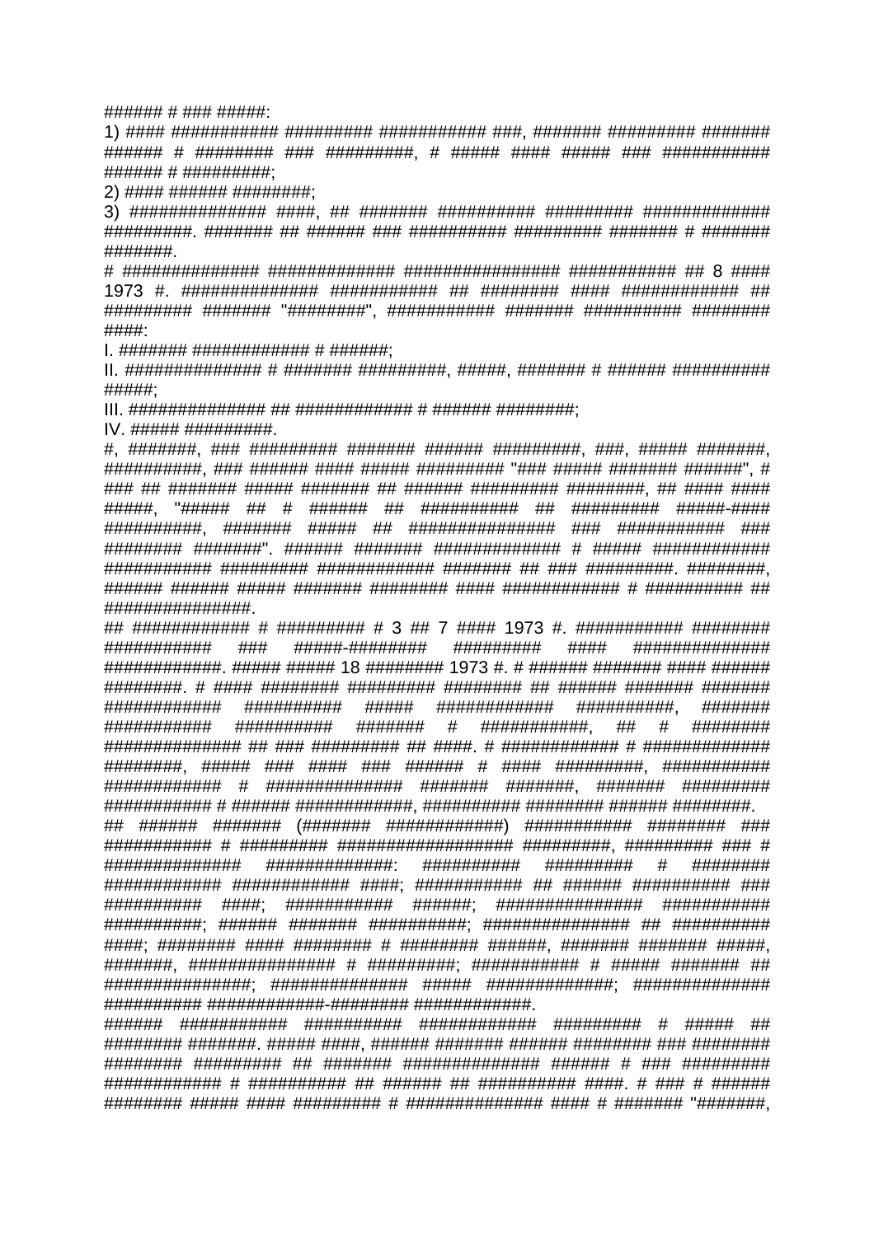###### # ### #####

####### # ##########

 $2)$  #### ####### ##########

#######

####:

 $\parallel$  ######## ############## # #######

#####\*

I\/ ##### ##########

###############

## ############# # ######### # 3 ## 7 #### 1973 #. ########### ######### #####-######## ######### #### ############ ### ############## 

##############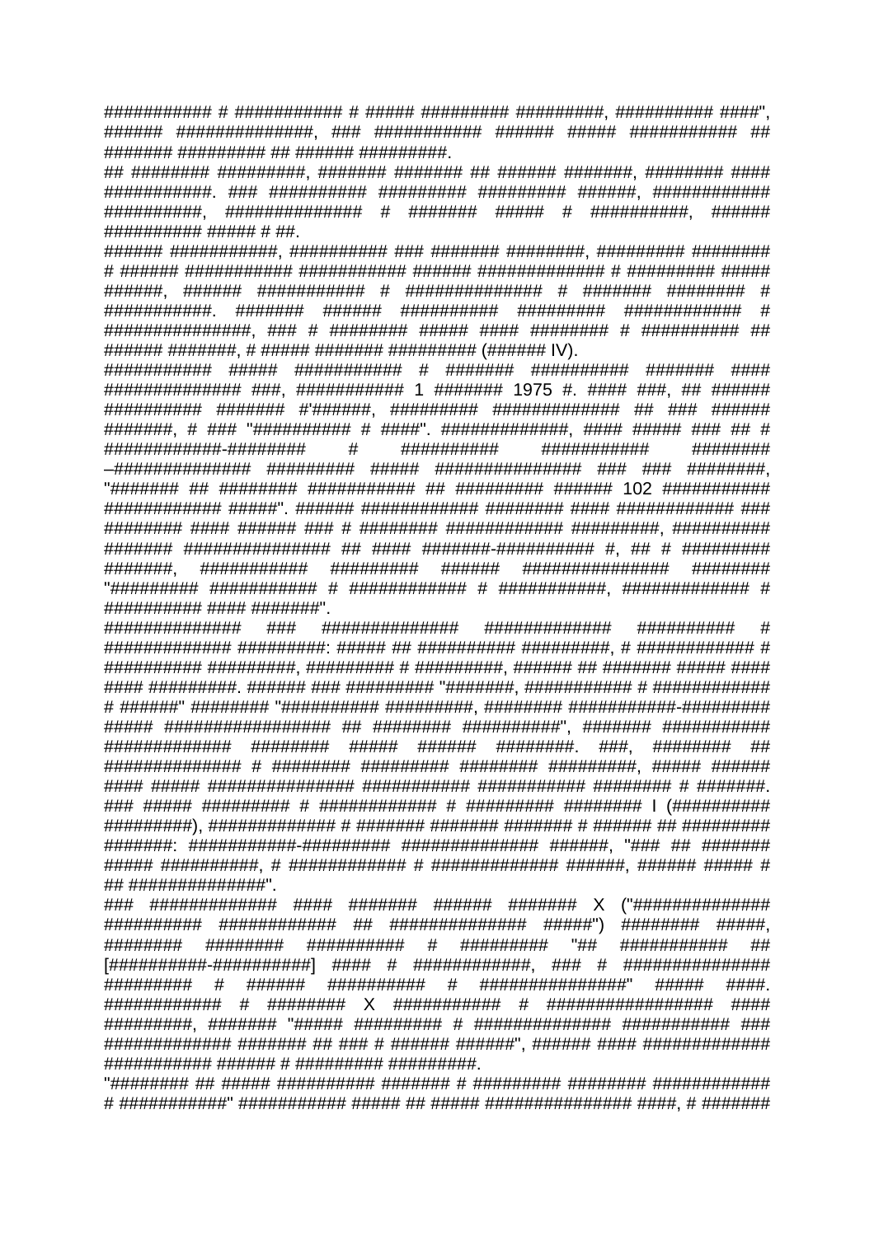########### ##### # ##

########## ########### #### ########".

############# ##########  $#$ ## ###############"

##  $[1+1+1+1+1+1+1+1+1+1+1+1+1]$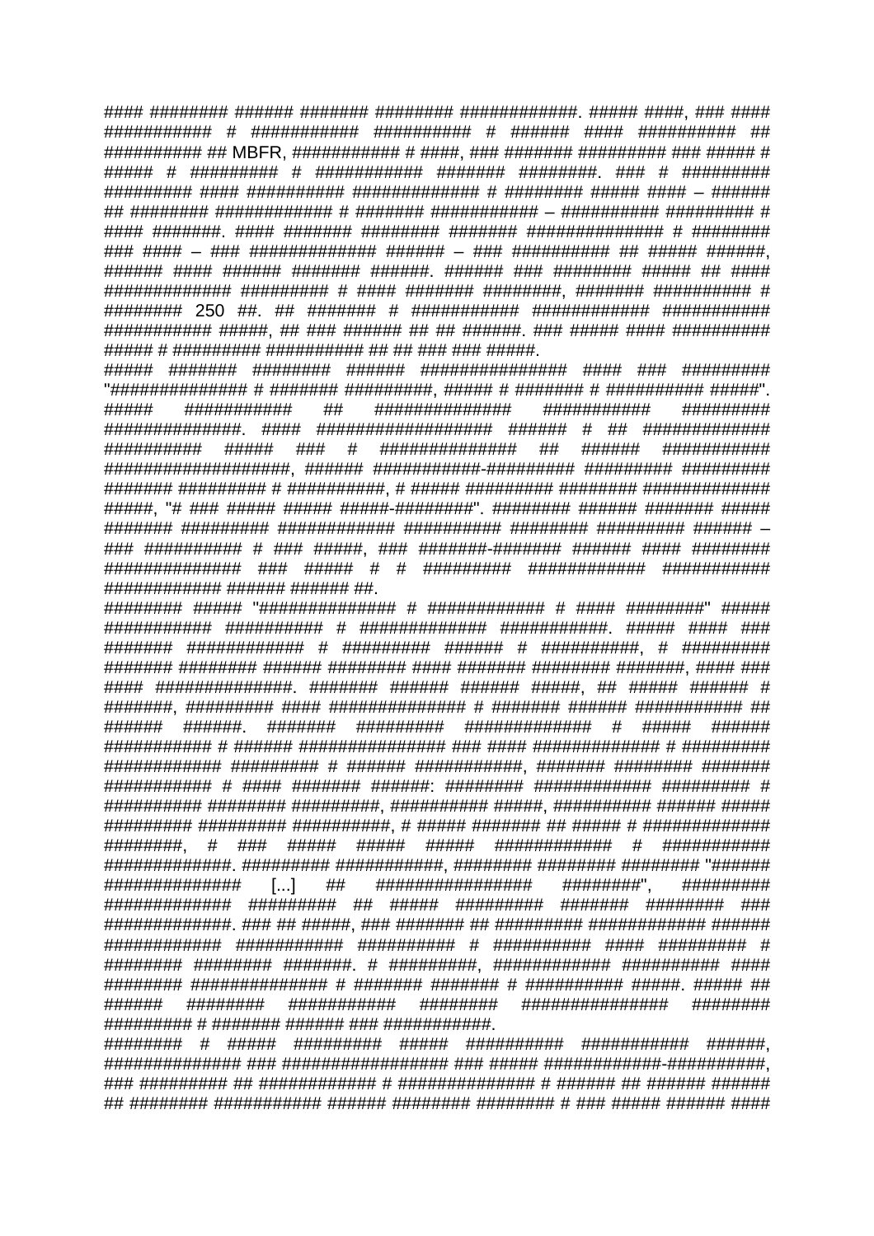##### ############ ## #####. "# ### ##### ##### #####-########". ######## ####### ###### ###### ############# ###### ###### ##

##############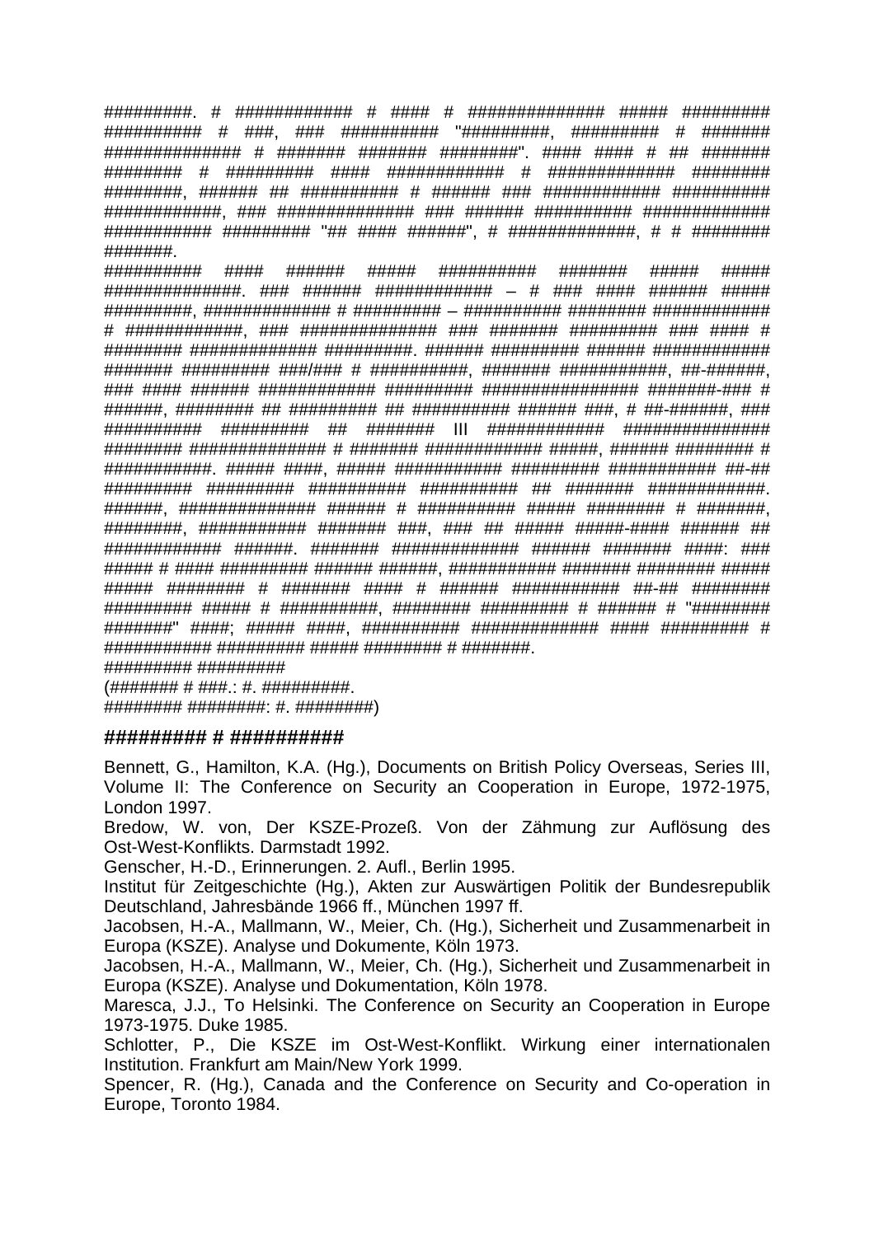########### # ###. ########## # ######## #######

########## #### ###### ##### ########## ####### ##### ##### ########## ########## ## #######  $III$ 

########## ########## (######## # ###.: #. ##########. ######### #########: #. #########}

## ########## # ###########

Bennett, G., Hamilton, K.A. (Hg.), Documents on British Policy Overseas, Series III, Volume II: The Conference on Security an Cooperation in Europe, 1972-1975, London 1997.

Bredow, W. von, Der KSZE-Prozeß. Von der Zähmung zur Auflösung des Ost-West-Konflikts. Darmstadt 1992.

Genscher, H.-D., Erinnerungen. 2. Aufl., Berlin 1995.

Institut für Zeitgeschichte (Hg.), Akten zur Auswärtigen Politik der Bundesrepublik Deutschland, Jahresbände 1966 ff., München 1997 ff.

Jacobsen, H.-A., Mallmann, W., Meier, Ch. (Hg.), Sicherheit und Zusammenarbeit in Europa (KSZE). Analyse und Dokumente, Köln 1973.

Jacobsen, H.-A., Mallmann, W., Meier, Ch. (Hg.), Sicherheit und Zusammenarbeit in Europa (KSZE). Analyse und Dokumentation, Köln 1978.

Maresca, J.J., To Helsinki. The Conference on Security an Cooperation in Europe 1973-1975. Duke 1985.

Schlotter, P., Die KSZE im Ost-West-Konflikt. Wirkung einer internationalen Institution. Frankfurt am Main/New York 1999.

Spencer, R. (Hg.), Canada and the Conference on Security and Co-operation in Europe, Toronto 1984.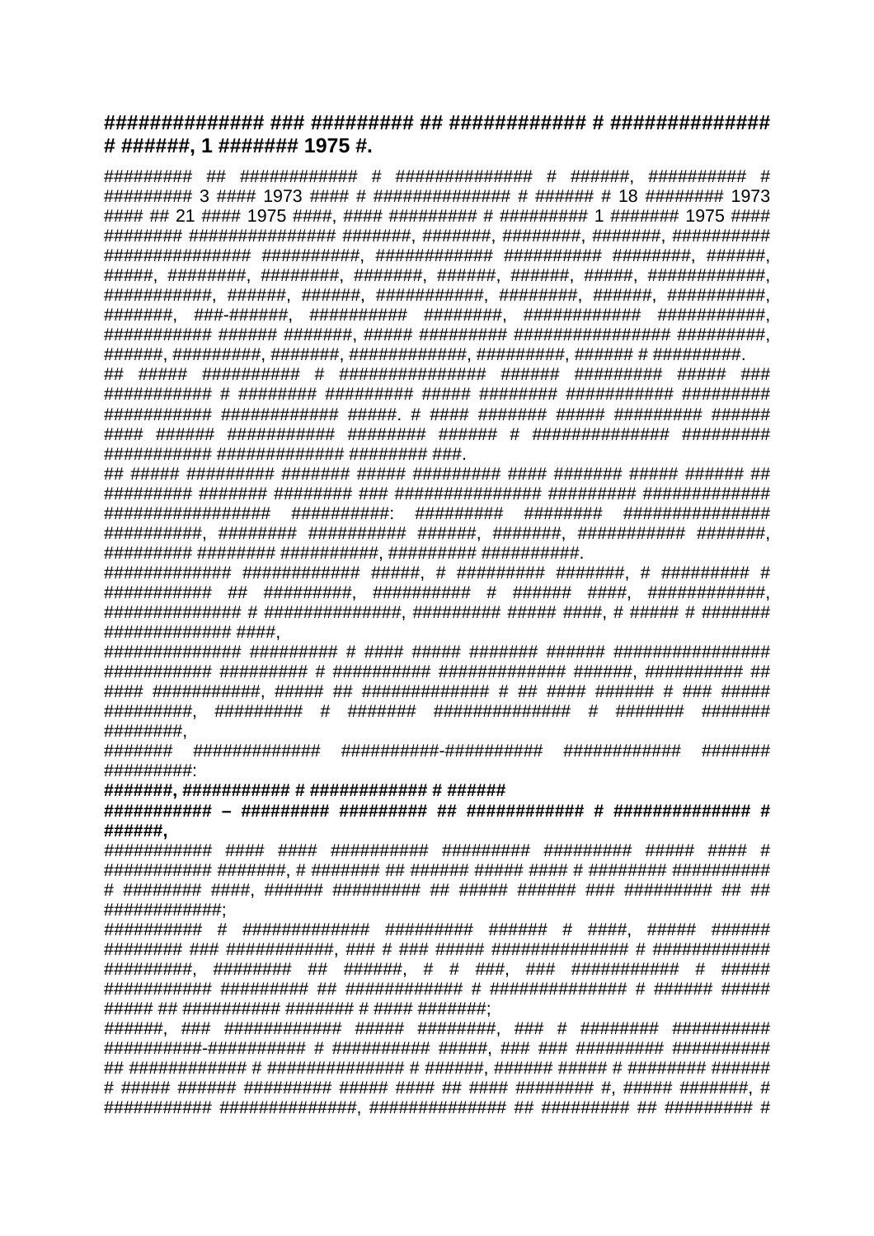## ########\_1######## 1975 #\_

#### ## 21 #### 1975 ####. #### ######### # ######### 1 ####### 1975 #### 

############ ############## ######## ###.

######### ################ 

############## ####

#########

##########

#### ######

############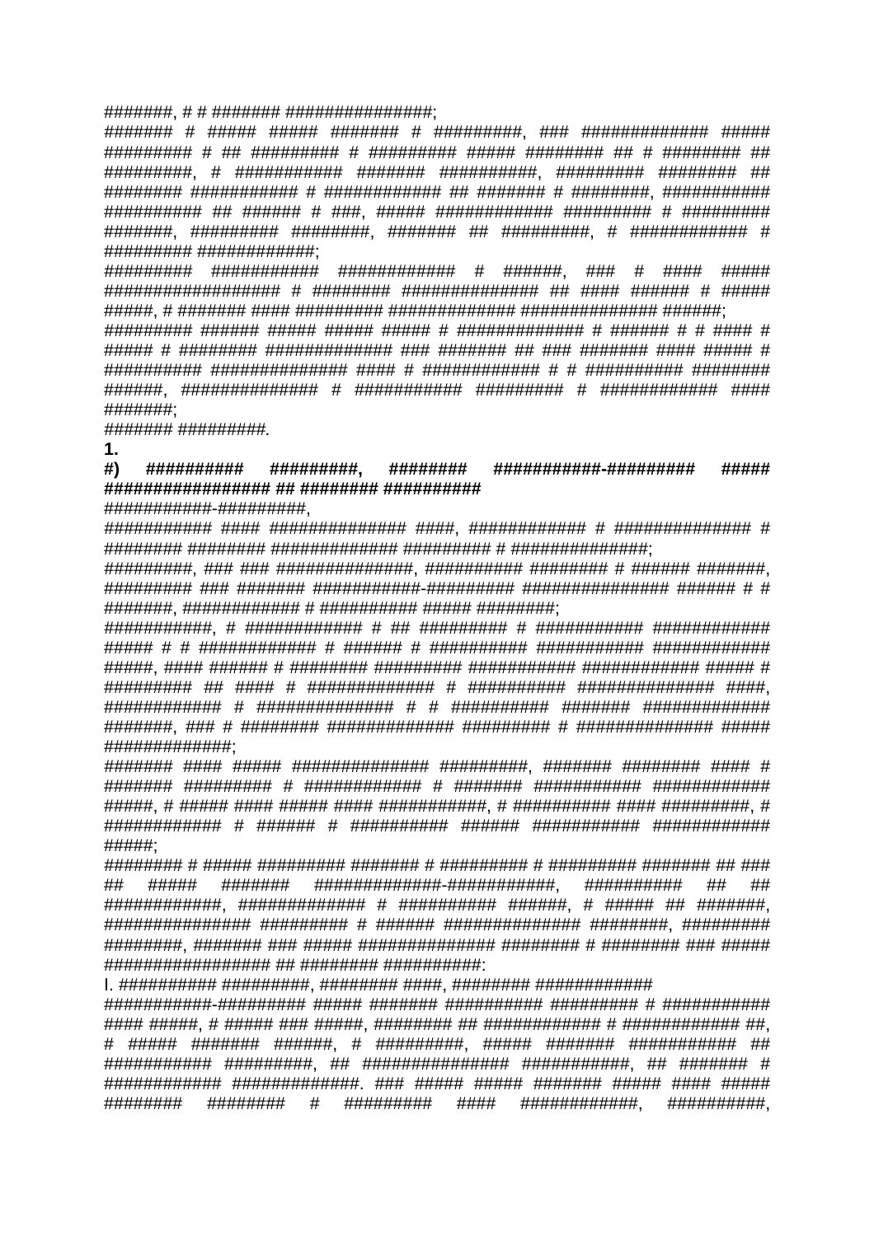########## #############

#######<sup>.</sup>

######## ##########

 $\mathbf 1$ 

#### #) #####

############-###########

#############

#####

## ##### ####### ## ##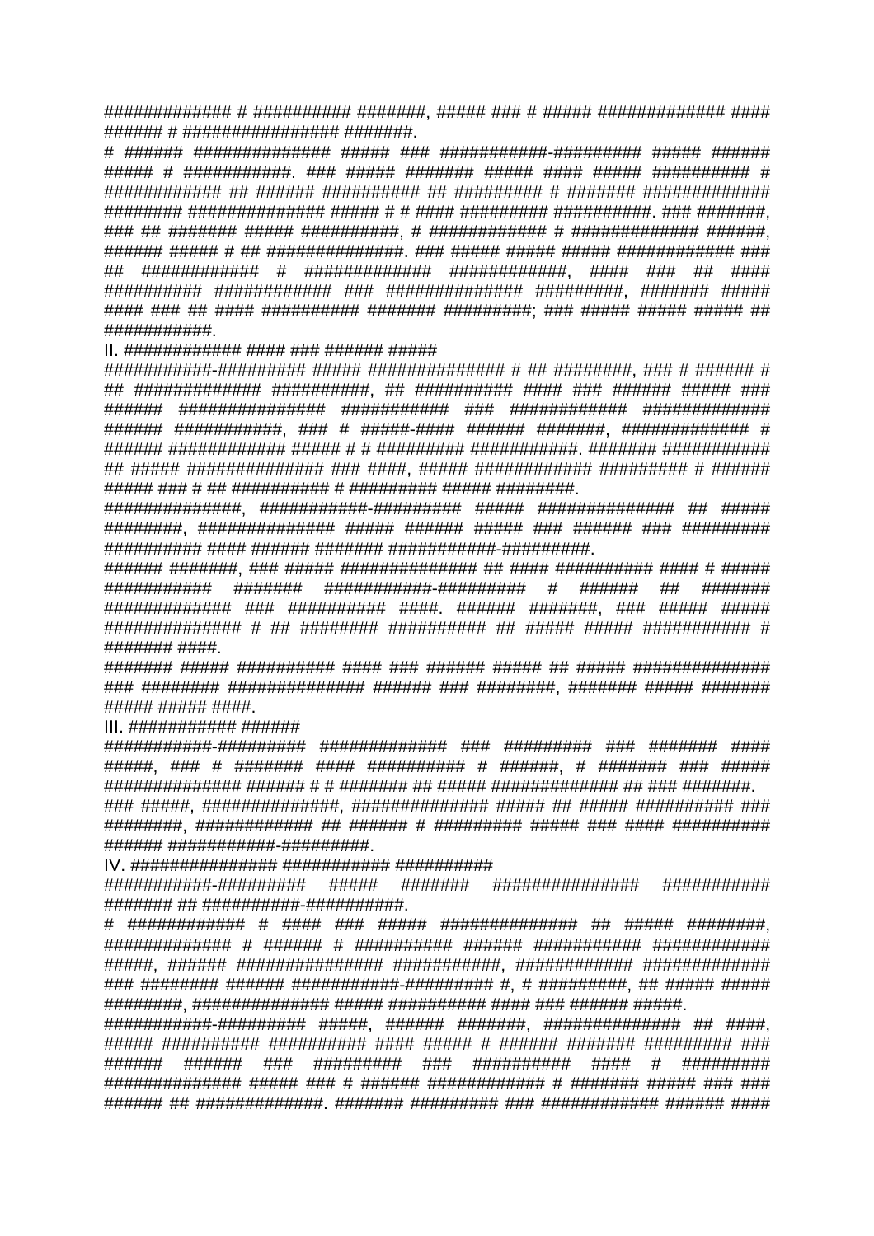####### # ################## ########

############

######## ####

##### ##### ####.

ⅡⅠ ############ ######

###### ############-##########

######## ## ###########-############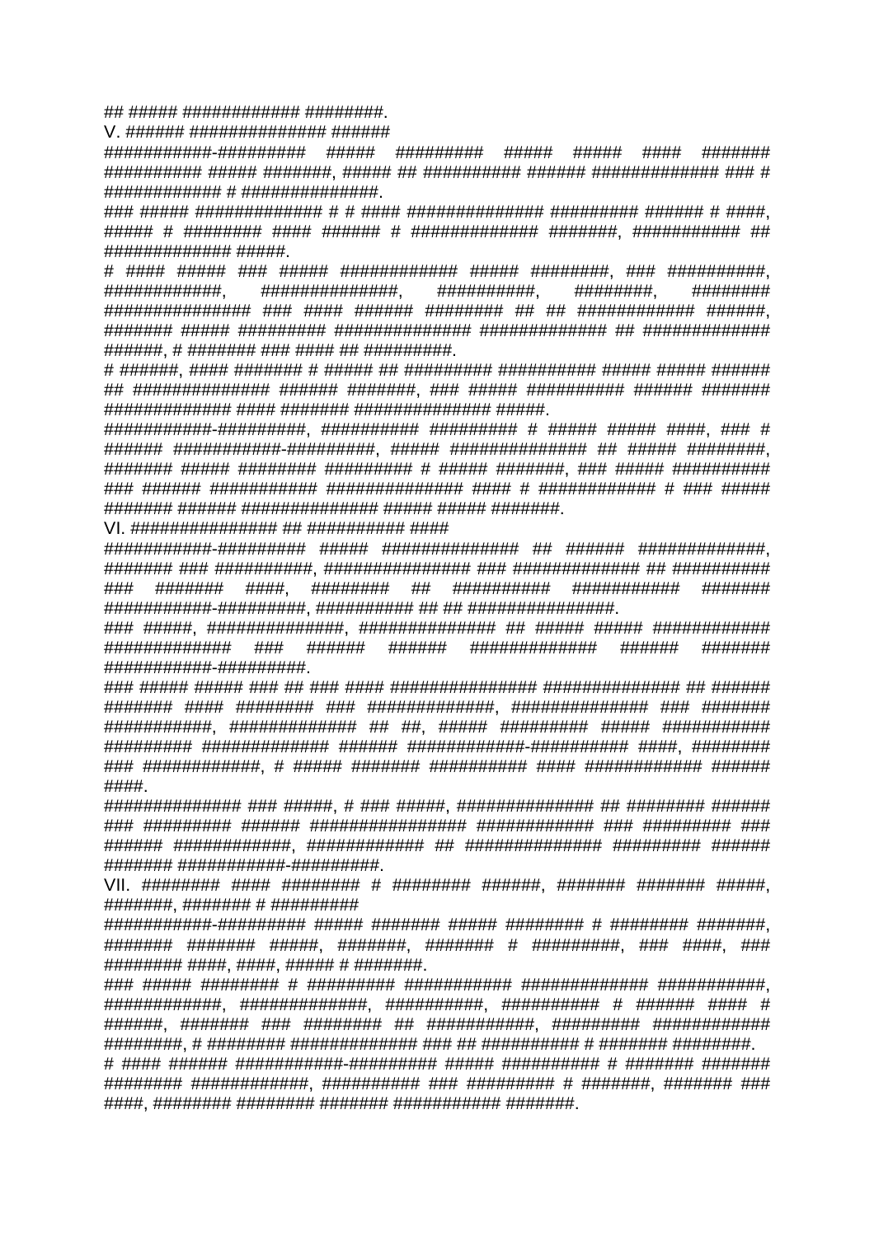## ##### ############# #########

############# # ###############

############## #####

############ ##############. ###########. #########. ######## 

VI ################ ## ########## ####

### ####### #### 

###########+#########

####

######## ###########+##############

########. ######## # ##########

######### ####\_ ####\_ ##### # ########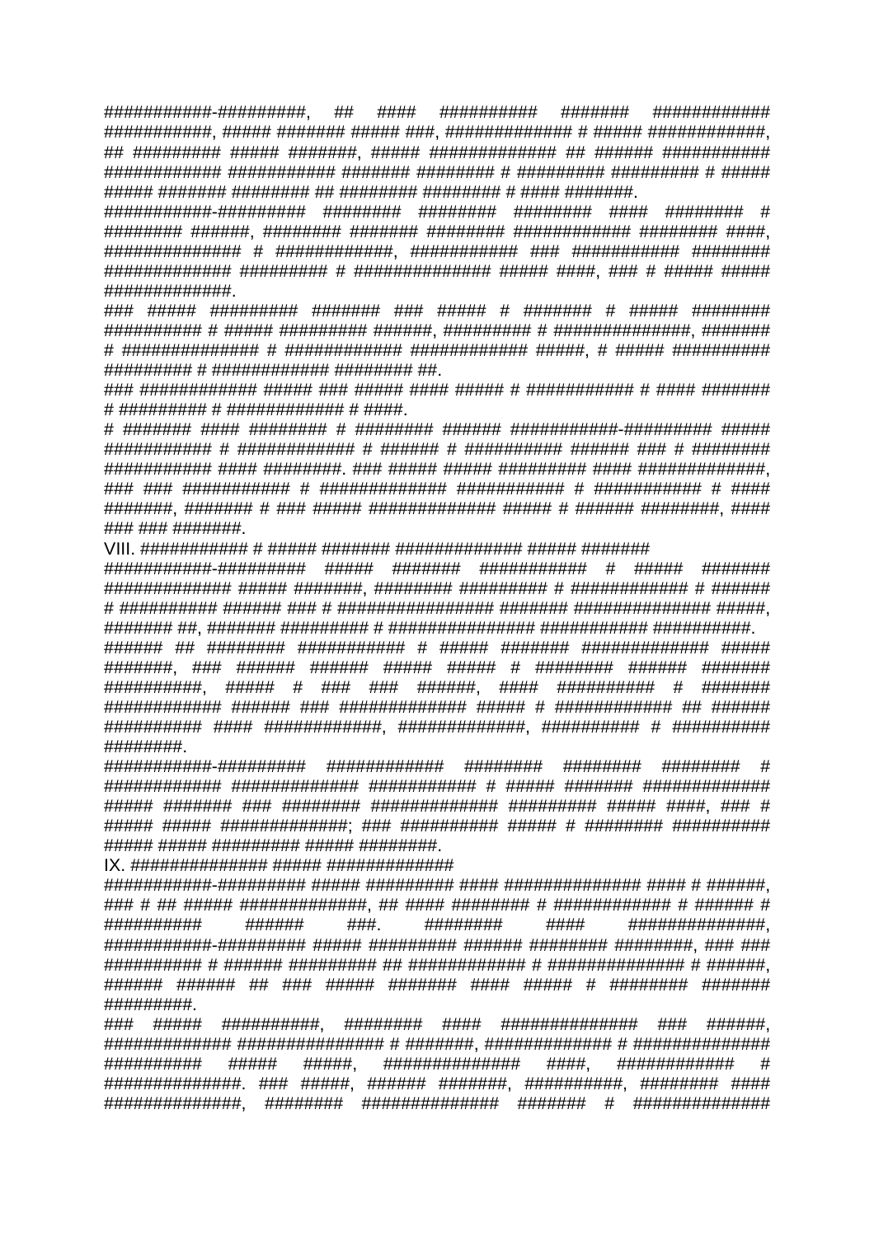#############

########## # ############# ######## ##

# ########## # ############# # ####.

### ### #######

########

##### ##### ########## ##### #########

#### ########## ###### ### ######## ############## ##########.

*##########*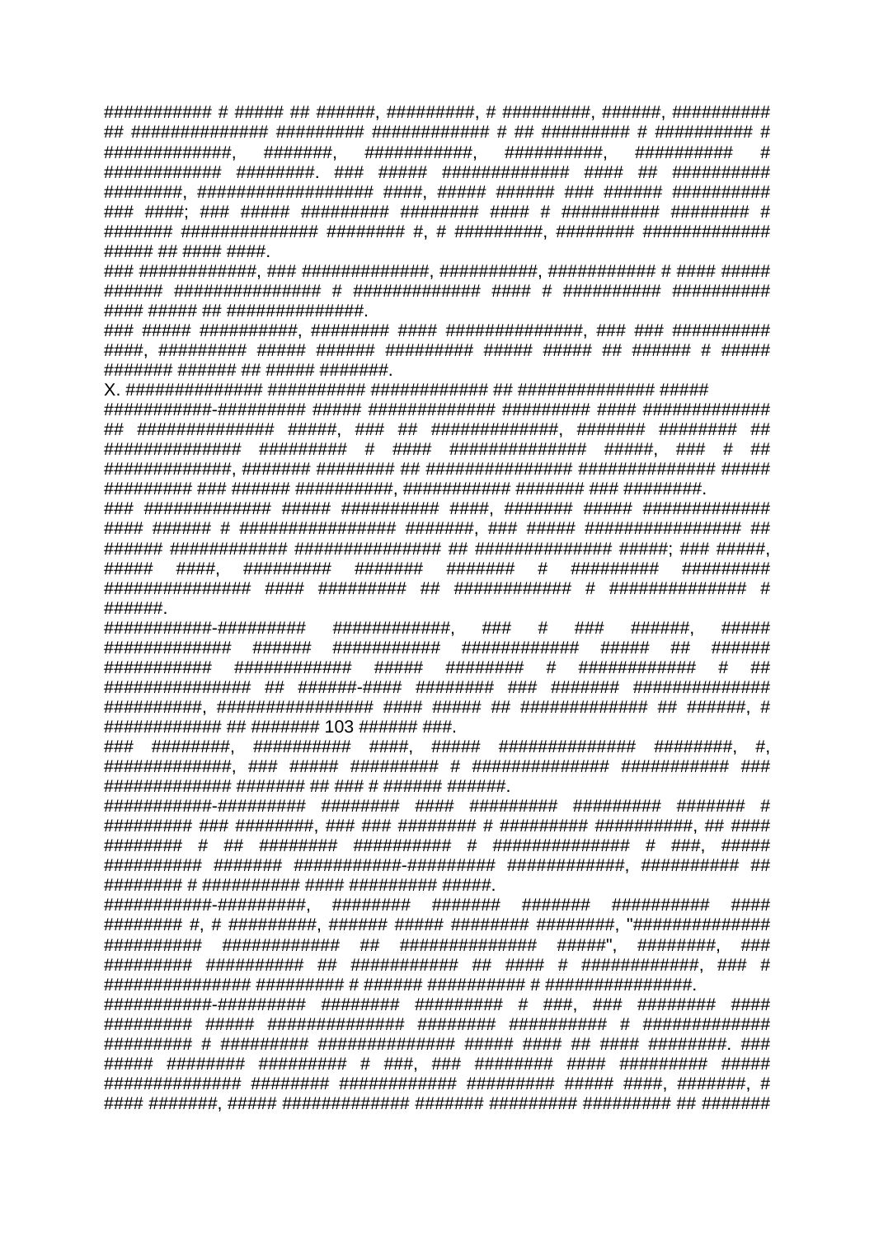##############. ########. ############. ###########. ###########  $#$ ##### ## #### ####

#### ##### ## ###############

######## ####### ## ##### ########

##### ######

### # ### ######. *#####* ## ############# ## ######## 103 ###### ###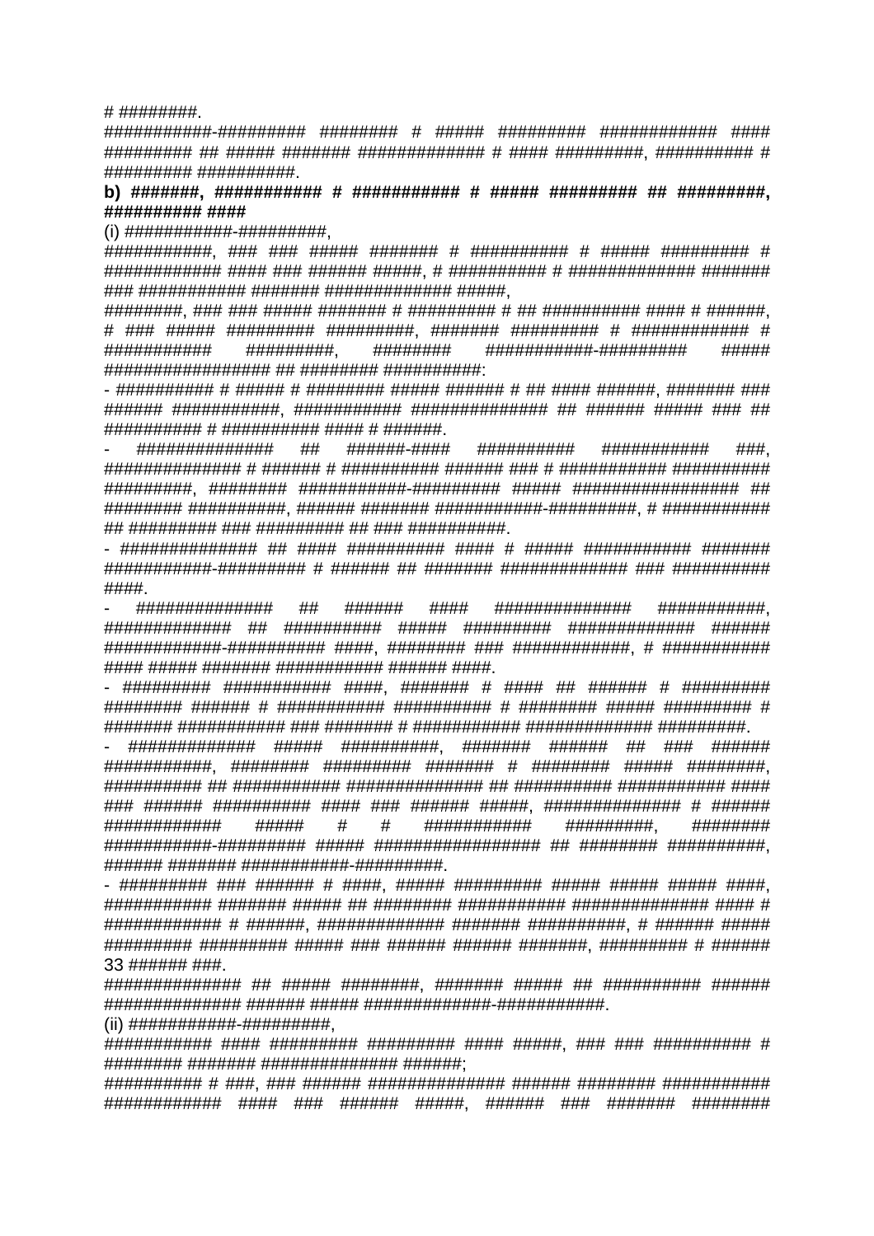# ########

########## ############

########### ####

 $(i)$  ############-##########

########### ########## ######## ############-########## ##### 

############## ## ######-#### ########## *###########* **###** 

####

############ #####  $#$  # ########### ##########. ######## 

33 ###### ###

(ii) ############-##########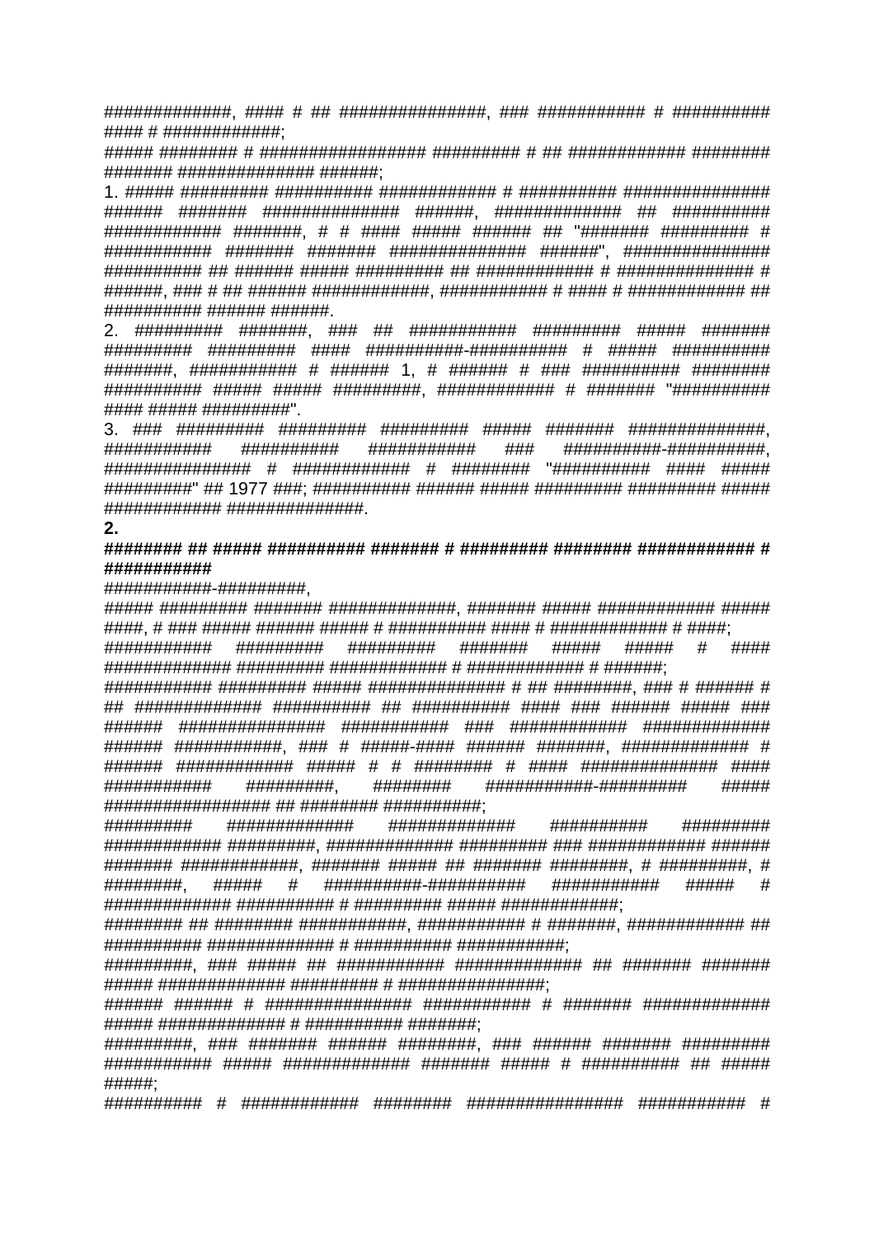#### # #############

######## ############### #######

########### ###### #######.

#### ##### ##########".

########### ############# ################

 $\mathbf{P}$ 

###########

############-###########

######### ############-########## ########### ######## ##### 

######### ########## ######### ######### ############ ##### # 

#####: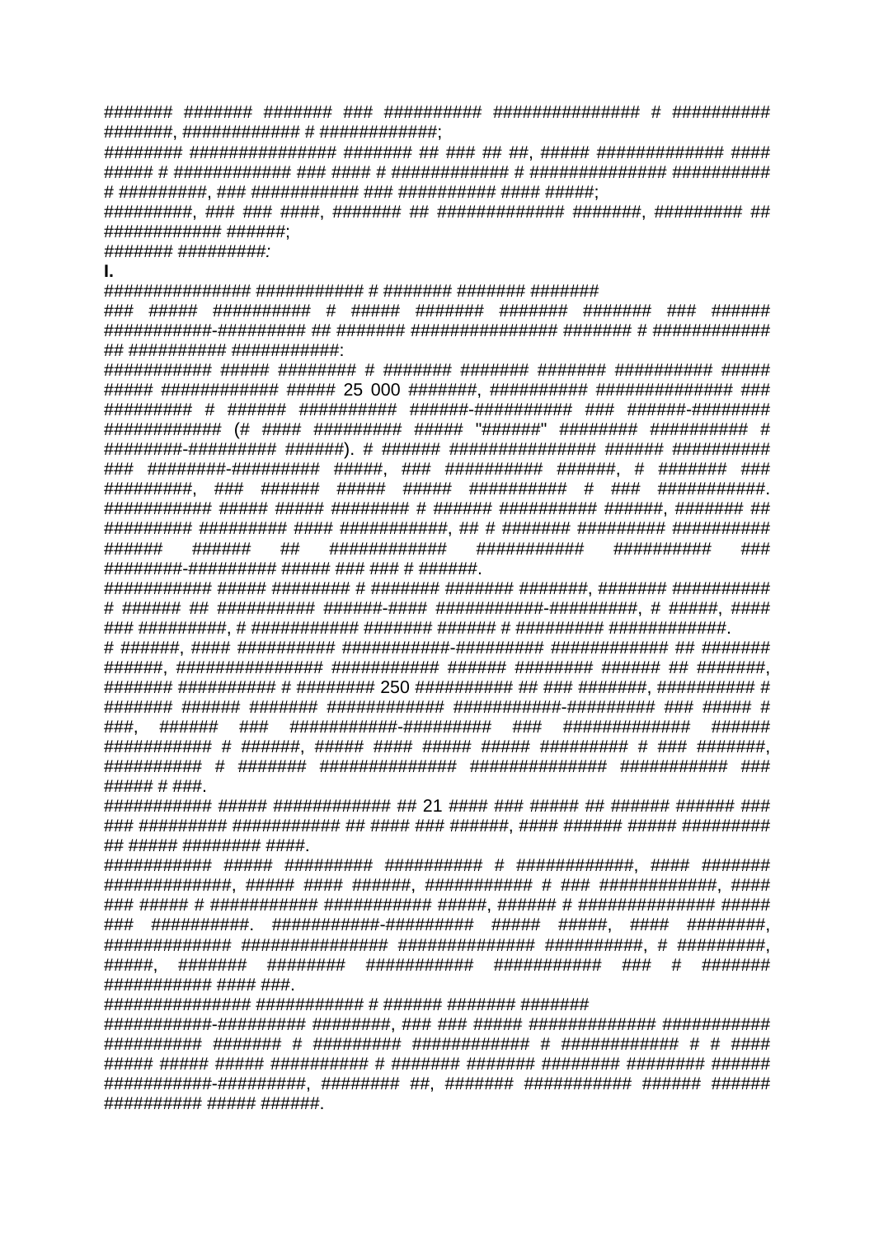########\_############# # #############

############# #######

#### ####### ##########

 $\mathbf{L}$ 

## ########### #############

###### ## ############ *######*  $\pm\pm\pm$ 

### ##### # ###

## ##### ######### ####

############ #### ###

########### ##### #######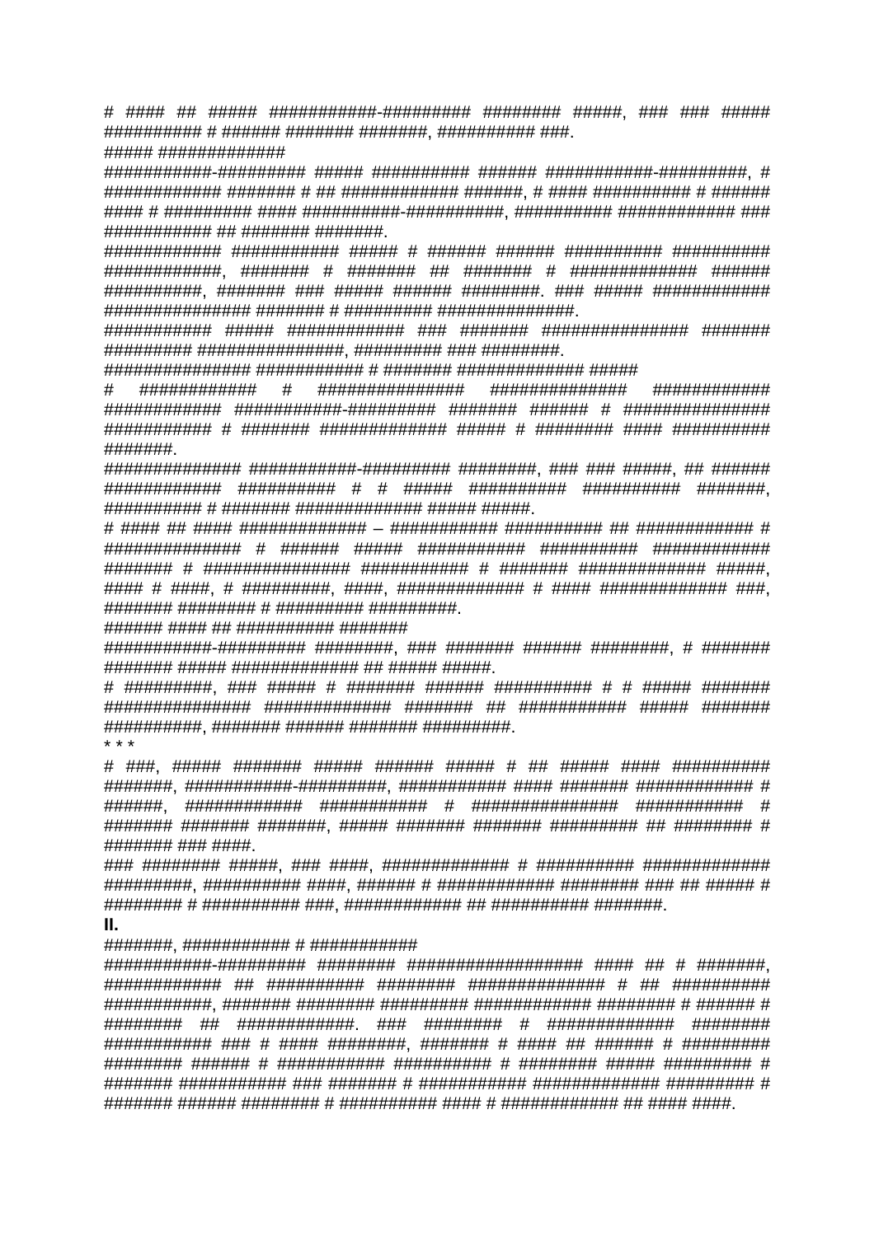##### #############

############ ## ######## ########

 $#$ ############## ############ ############### ############ *#######* 

######## ### ####

 $\Pi$ .

### ########\_############ # ############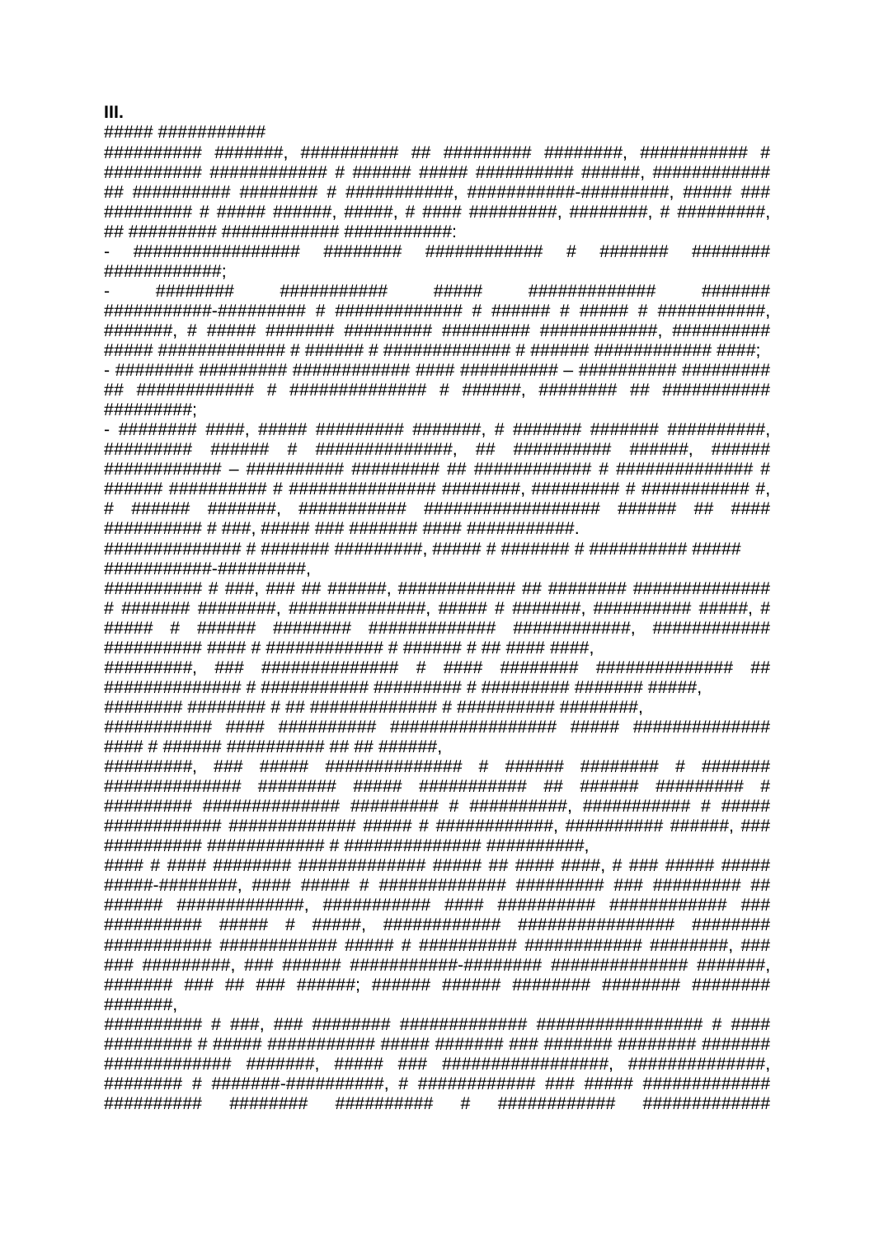##### ###########

############

########### ######## ##### ############# ####### 

#########

###########+-##########

#### # ###### ########### ## ## ######

########

 $III$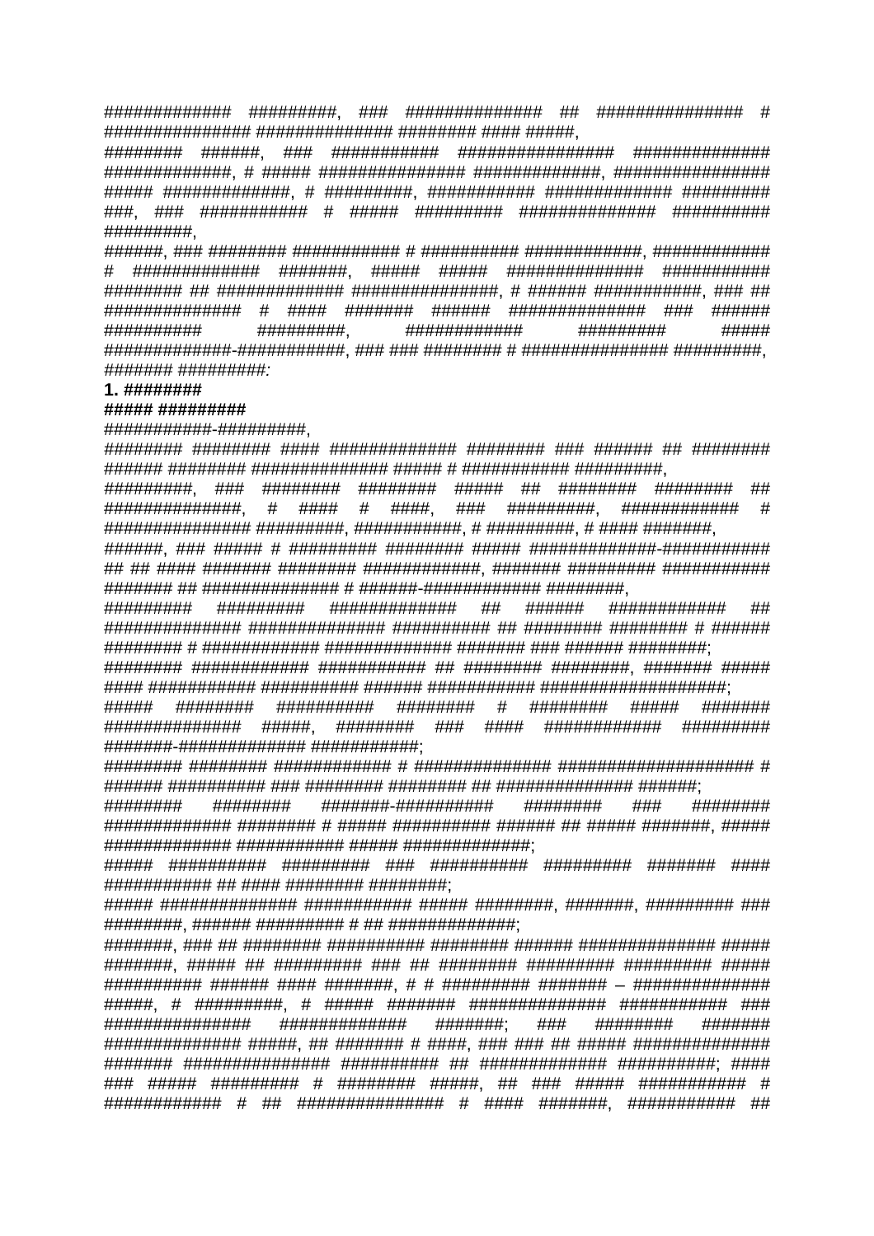#########

########## ########## ##### ####### #########

#### 1.########

#### ##### #########

############-###########

########-############################

######### #######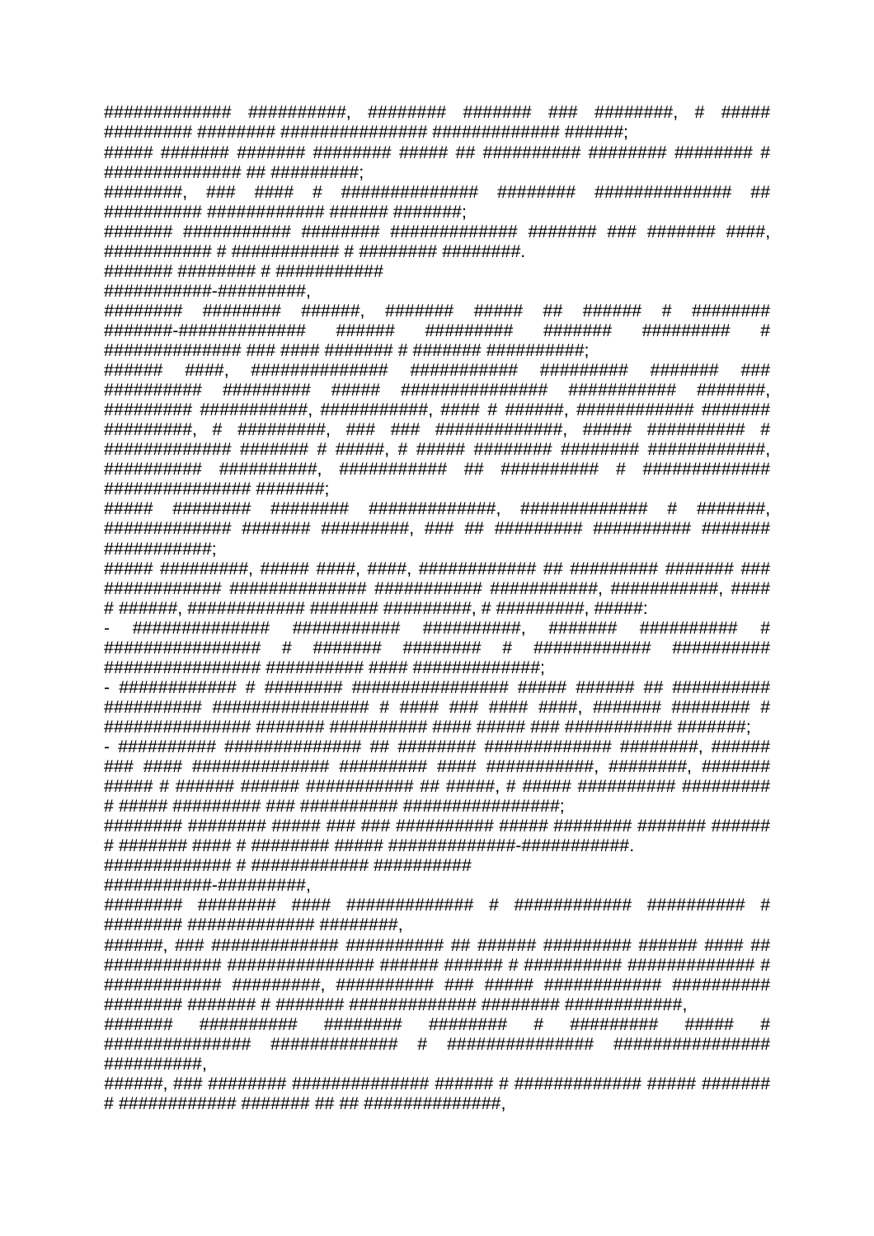############### ## ##########

######## ######### # #############

############-###########

######## ##########  $#$ 

################ ########

###########

 $#$ 

############-###########

######### ############## #########

#######  $#$ ##### ###########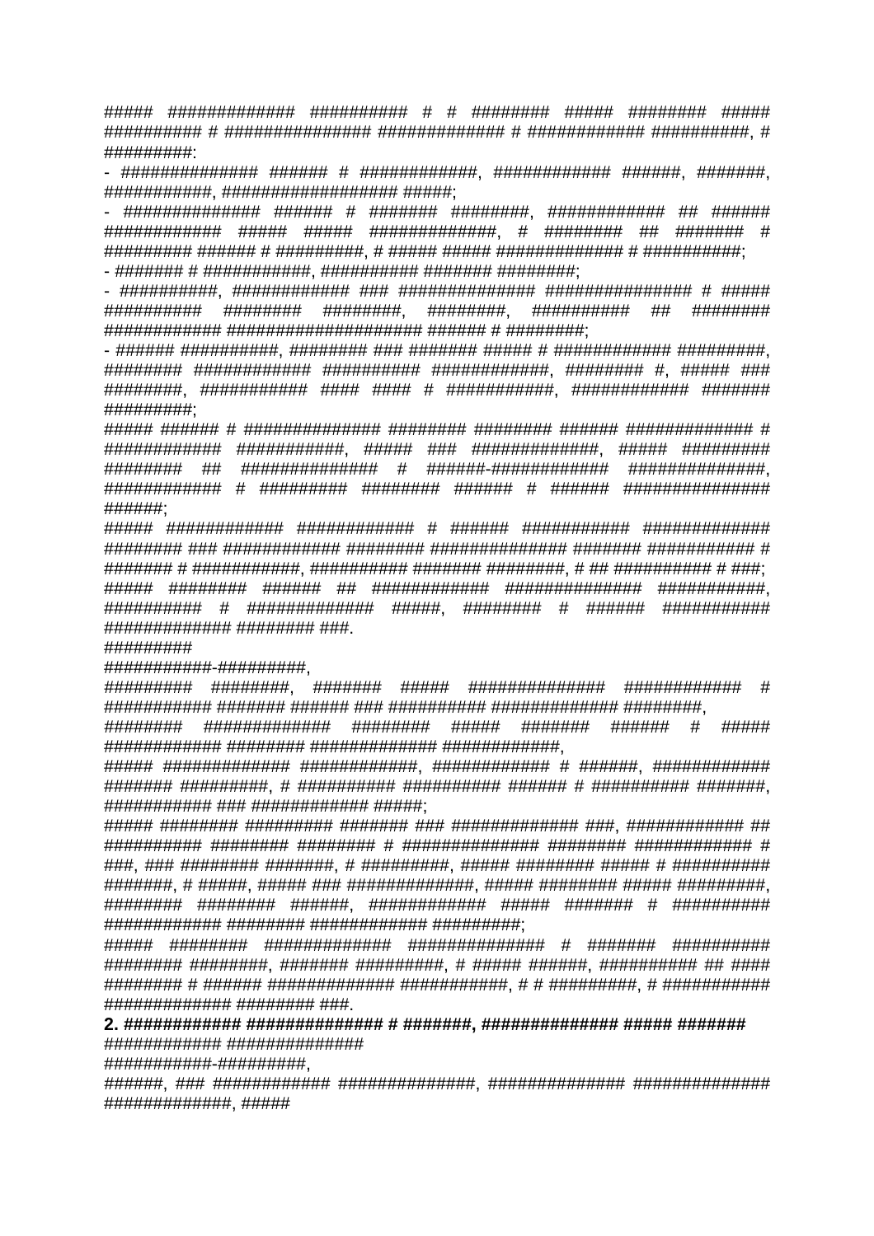##########

##########

######<sup>.</sup>

############## ######### ###

#########

#### ###########+=##########

############ ### ############# ######

############## ######### ###.

############# ################

############-##########

##############. #####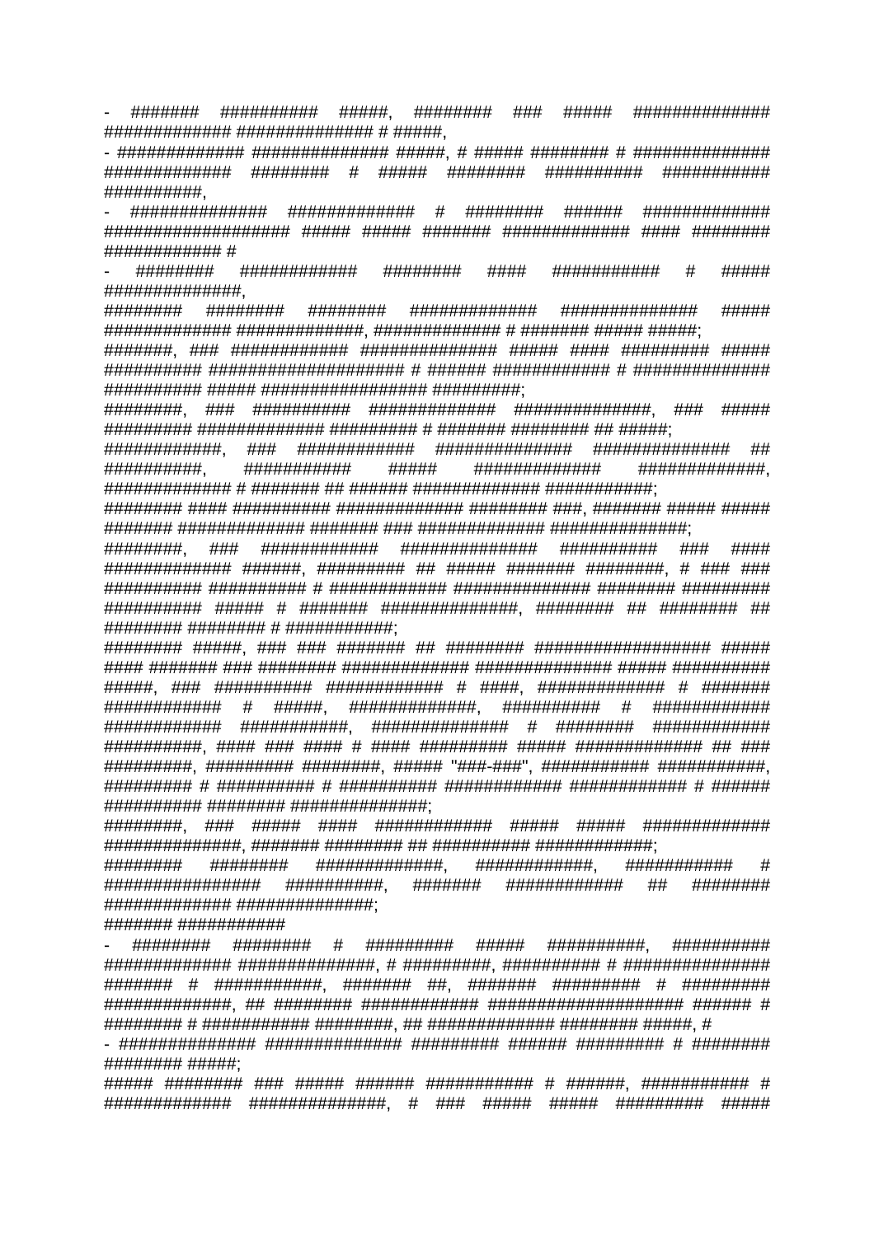###########

############ #

##### ##############

############# ############# 

######### ######### # #############

############## ################

######## ############

########## 

#############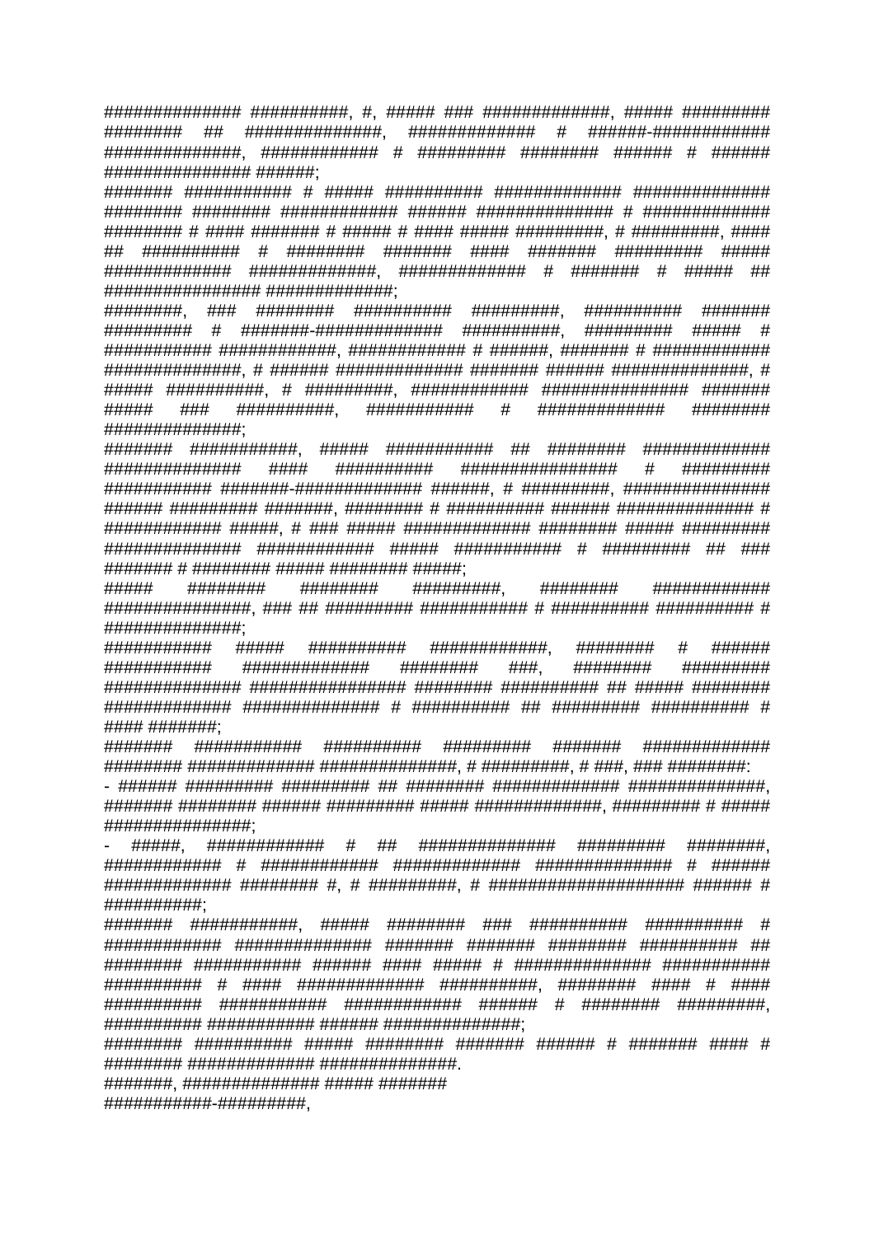################ ######

###################################

##############

######## ######## ##### ######### ######## ############ ##############

#### ########

###############

######## ###########

############-##########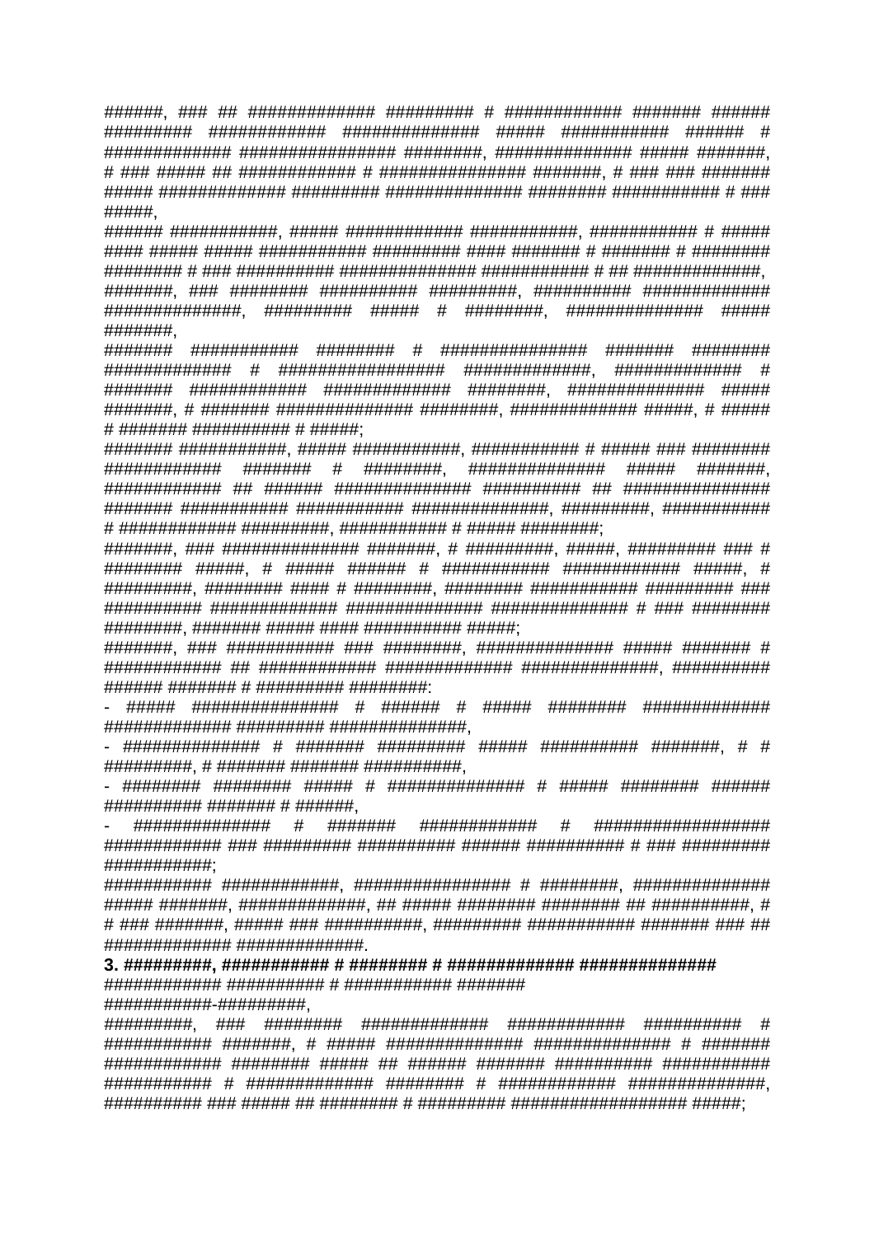#####

#######

# ######## ########### # ######

########### ######## # #######.

###########

############-###########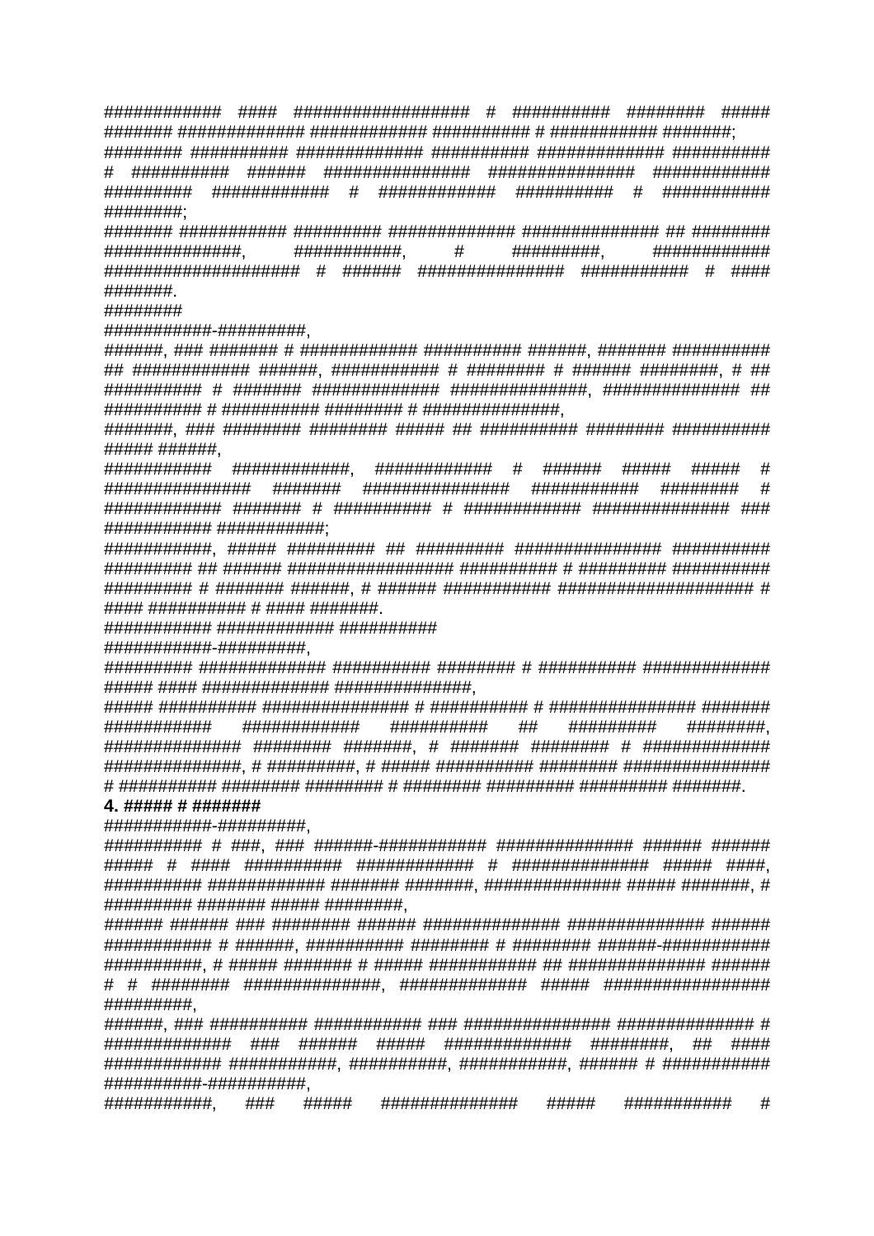#########

############ ############## ########## ############ #######

########

############-###########

##### ######

############ ############

#### ########### # #### ########

############ ############# ###########

############-###########

######## 

#### 4.##############

############-###########

########## ####### ##### #########

##########.

###########-###########

 $#$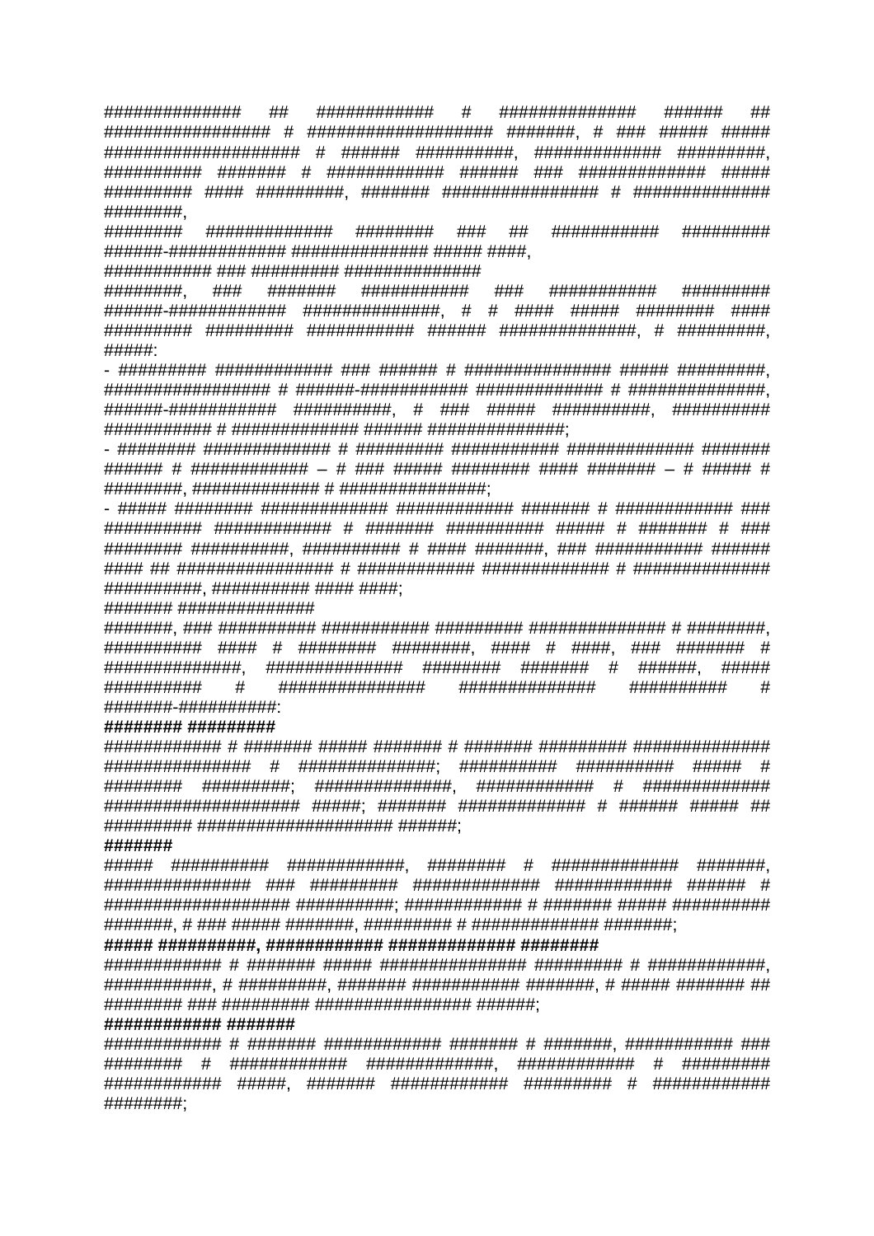#########

######## <del>#############</del> ######### ### ## ############ ########## 

####### ######## ### ############ ### ########### ######### #####

###########\_########### #### ####

######## ###############

 $#$ ########### # #######+##########

#### ######## ##########

#### **#######**

### 

#### ############# ########

#########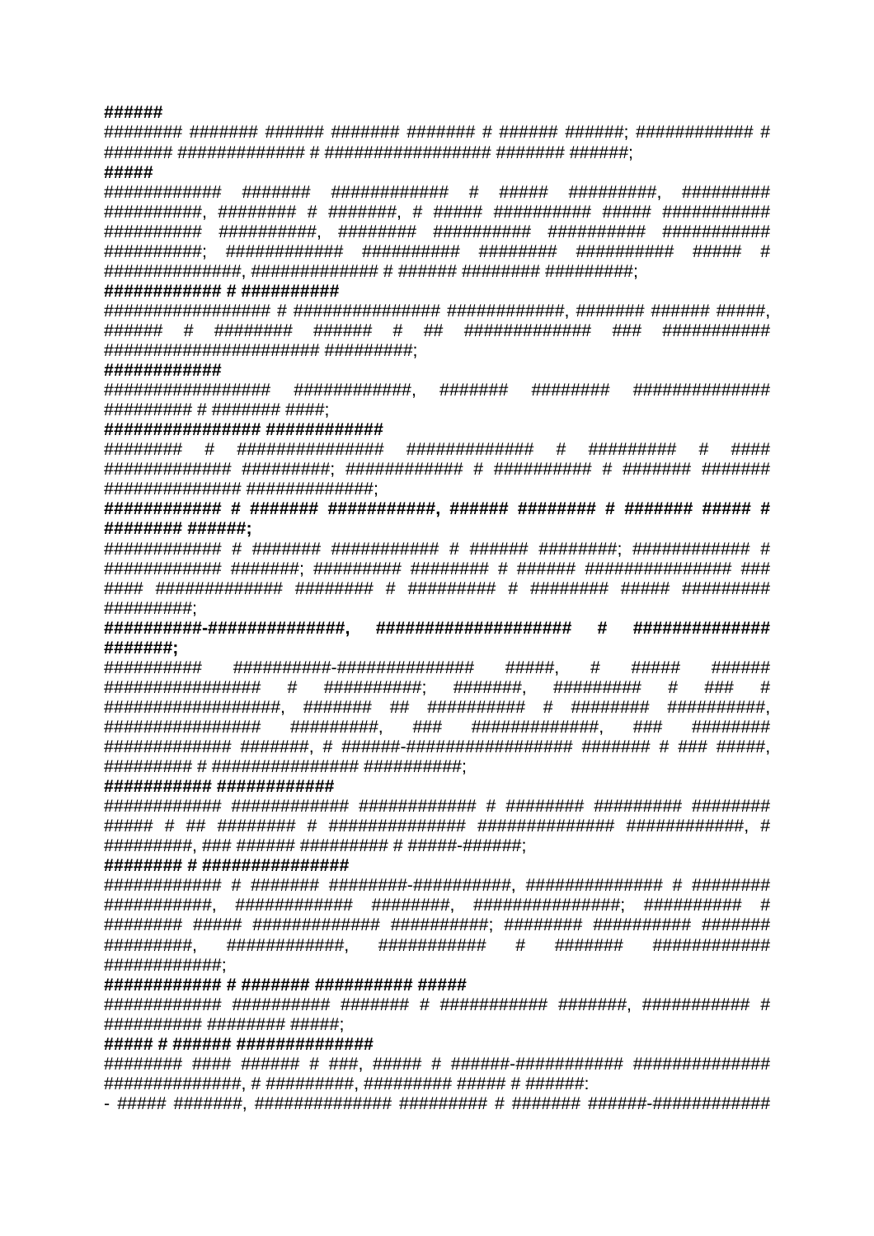#### ######

#### #####

######### 

#### ############# # ###########

###################################

#### ############

########## # ######## ####

#### 

############### ###############

### ######### #######

#########

#### #######

### ##############. ### ######## 

#### ############ #############

#### ######### # ################

######### ############

#### 

########### ######### ######

#### ##### # ###### ###############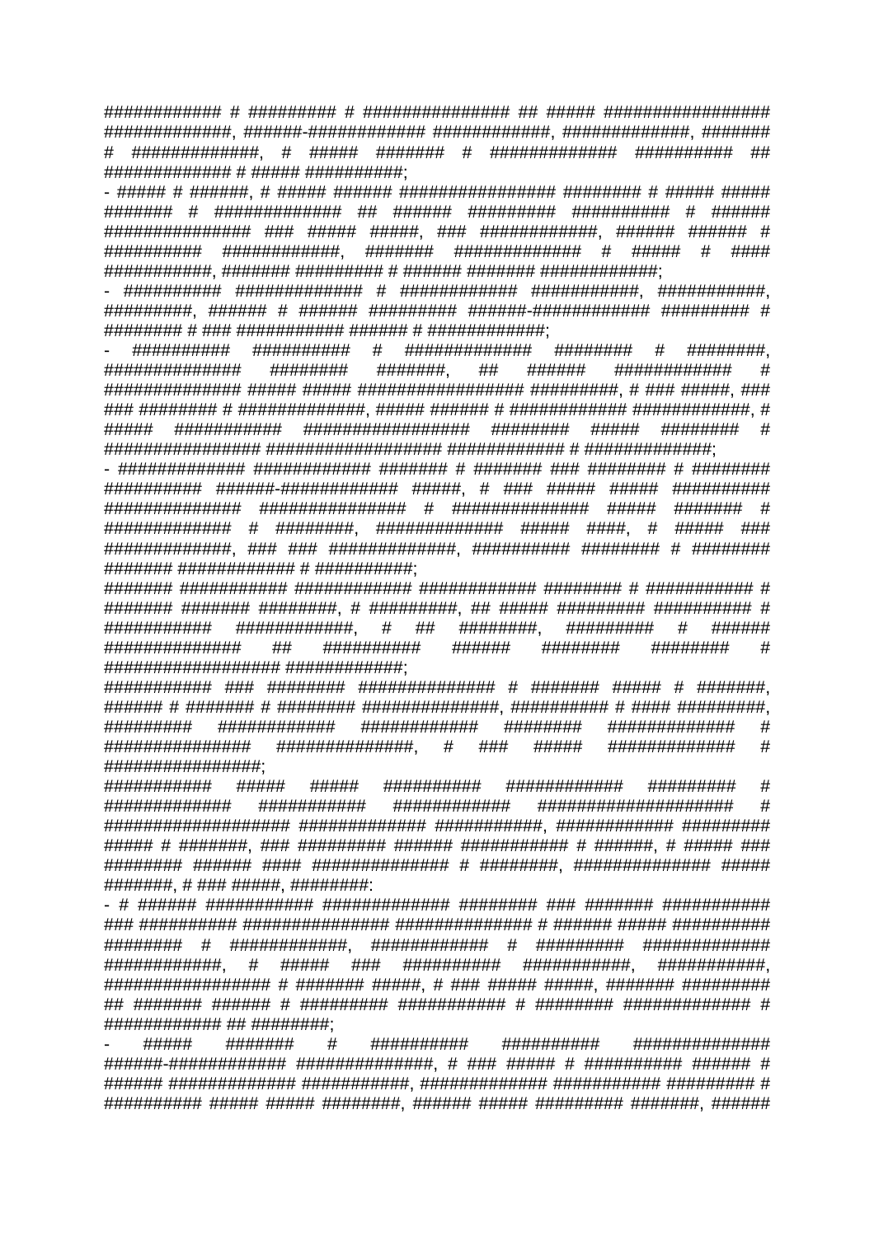############## # ##### ###########

########  $#$ 

######## ############# # ############

############## ##  $#$ ####################################

 $#$ ############### ################

##### ########### ############# ########## #  $#$ ########. # ### ######. #########:

############# ## #########

########## ##### #######  $#$ ########## ##############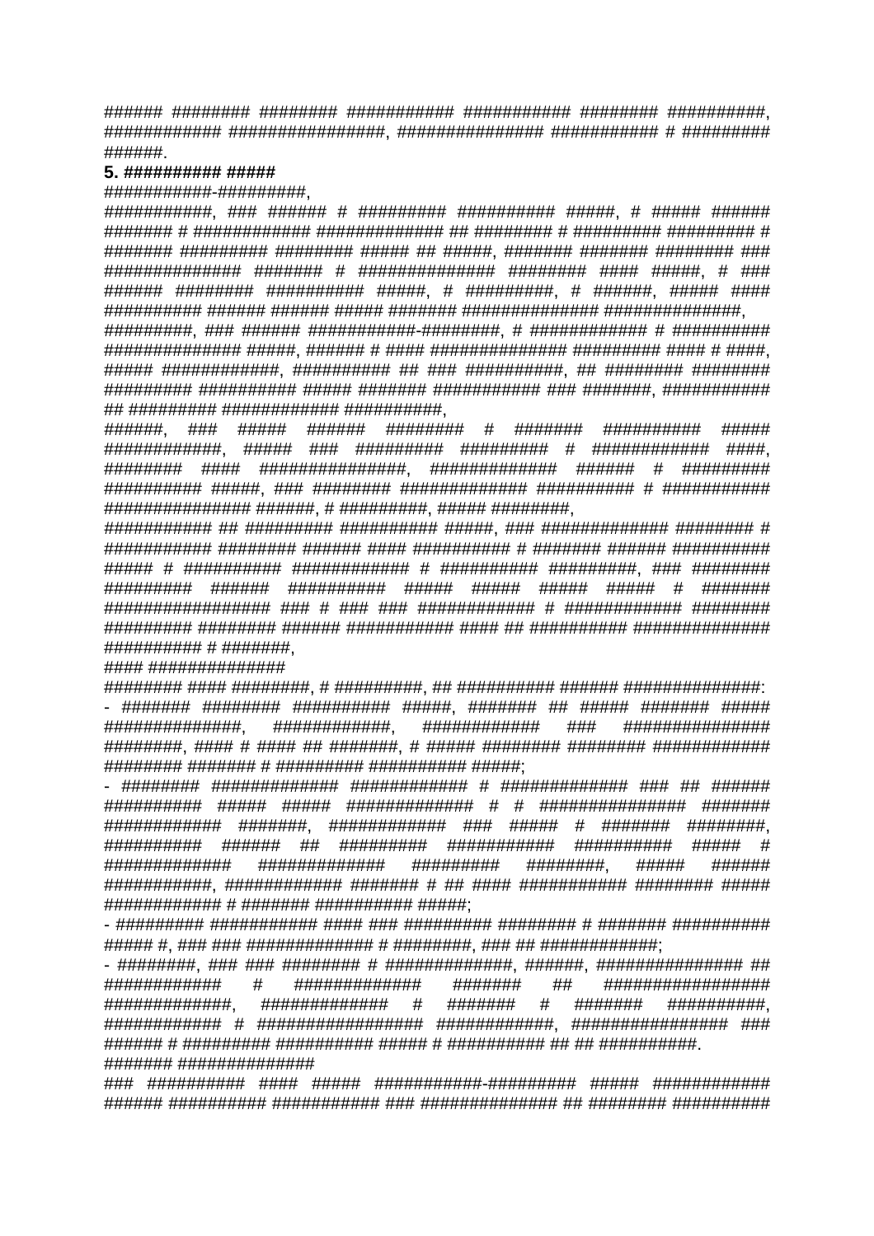######

#### 5. ########## #####

#### ############-##########

########### # ########

#### ##############

######### ###### ###### ############# 

############# # ################# ######## ###############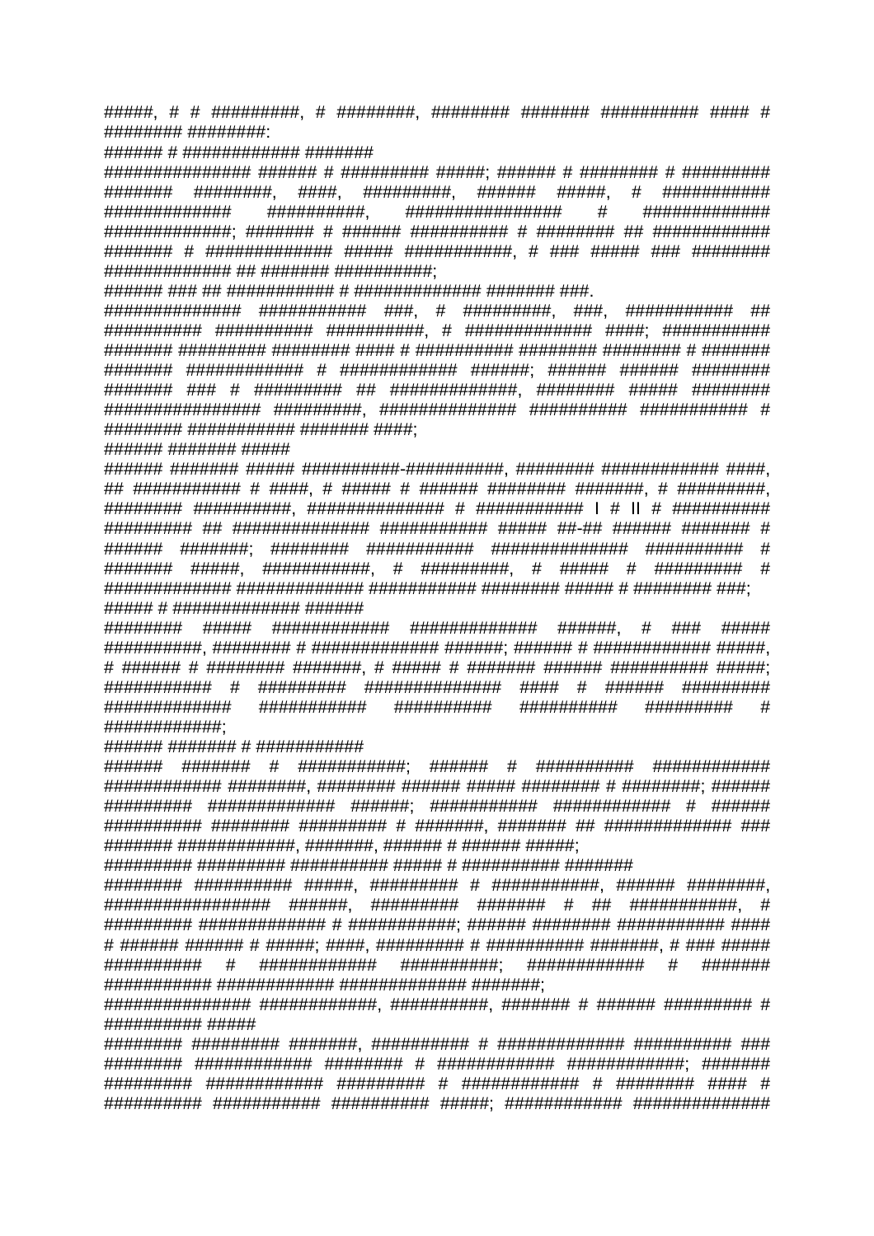######### #########

####### # ############# ########

############# ############## ## ######## ###########

######### ############ ####### ####

###### ####### #####

##### # ############## ######

*#####* ############

###### ######## # #############

########### #####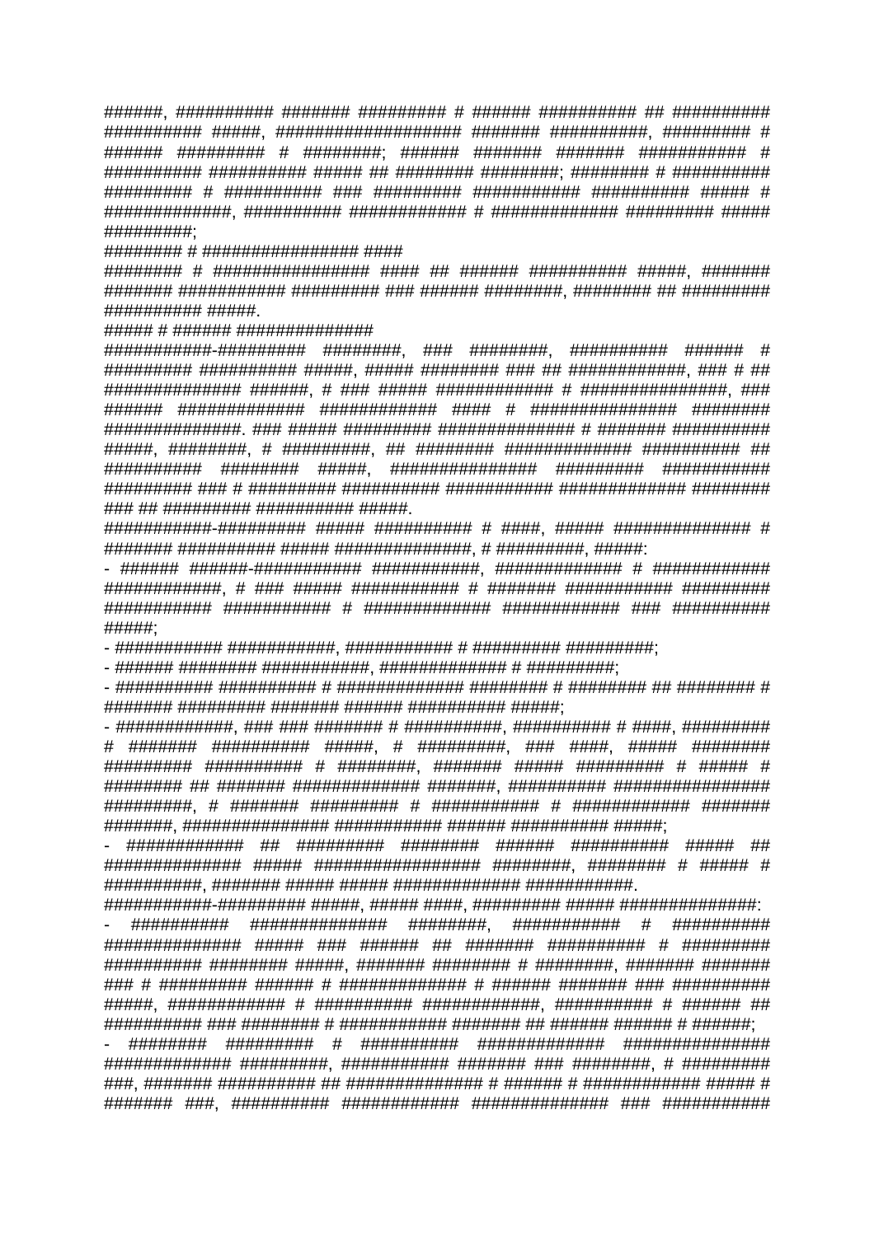#########

######### # ################## ####

########### #####

##### # ###### ###############

### ## ########## ########### ######

#####:

############ # ###########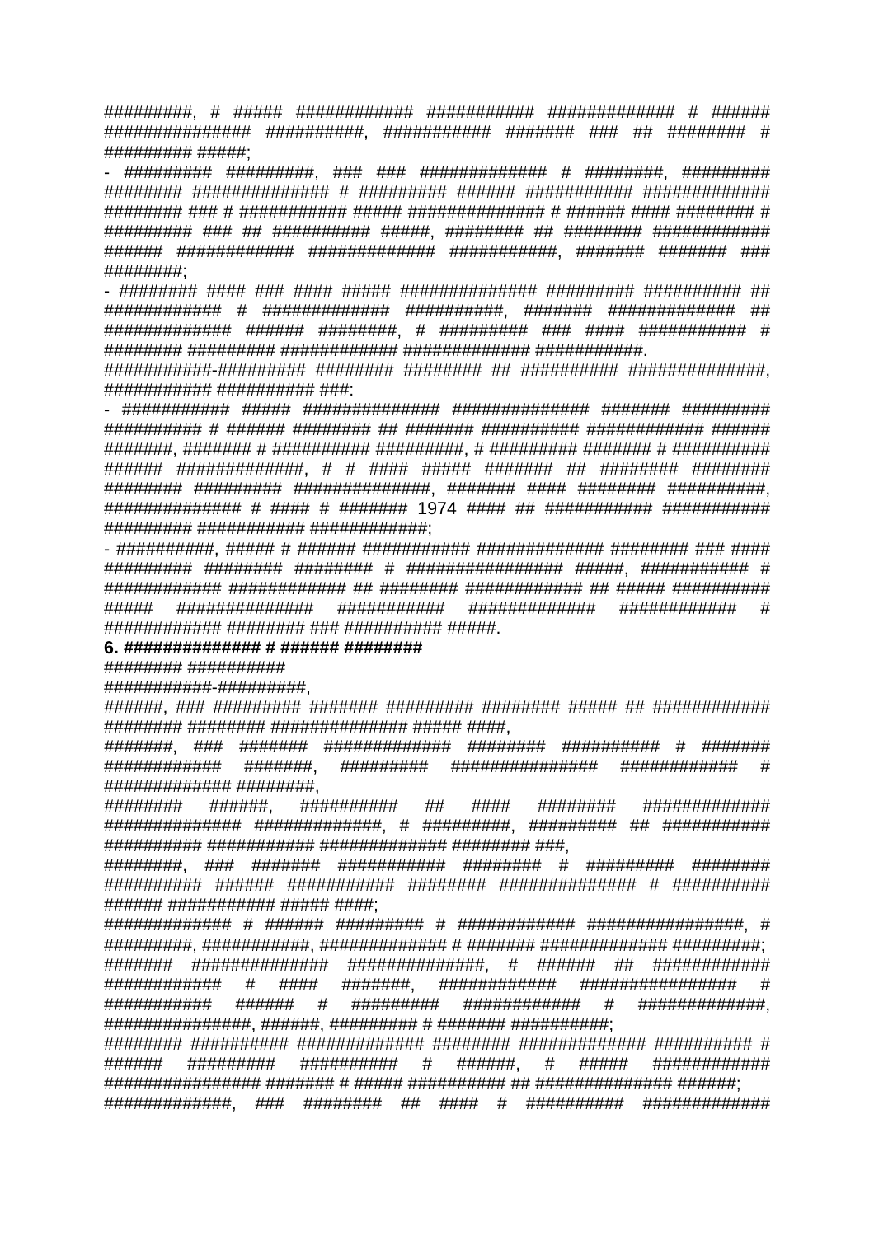########## ######

########

############ ########### ###

########## ############ ##############

#### 6. ############### # ###### #########

######### ###########

############-###########

############ ############## #########

########## ########### # #######. # ##### ###### ############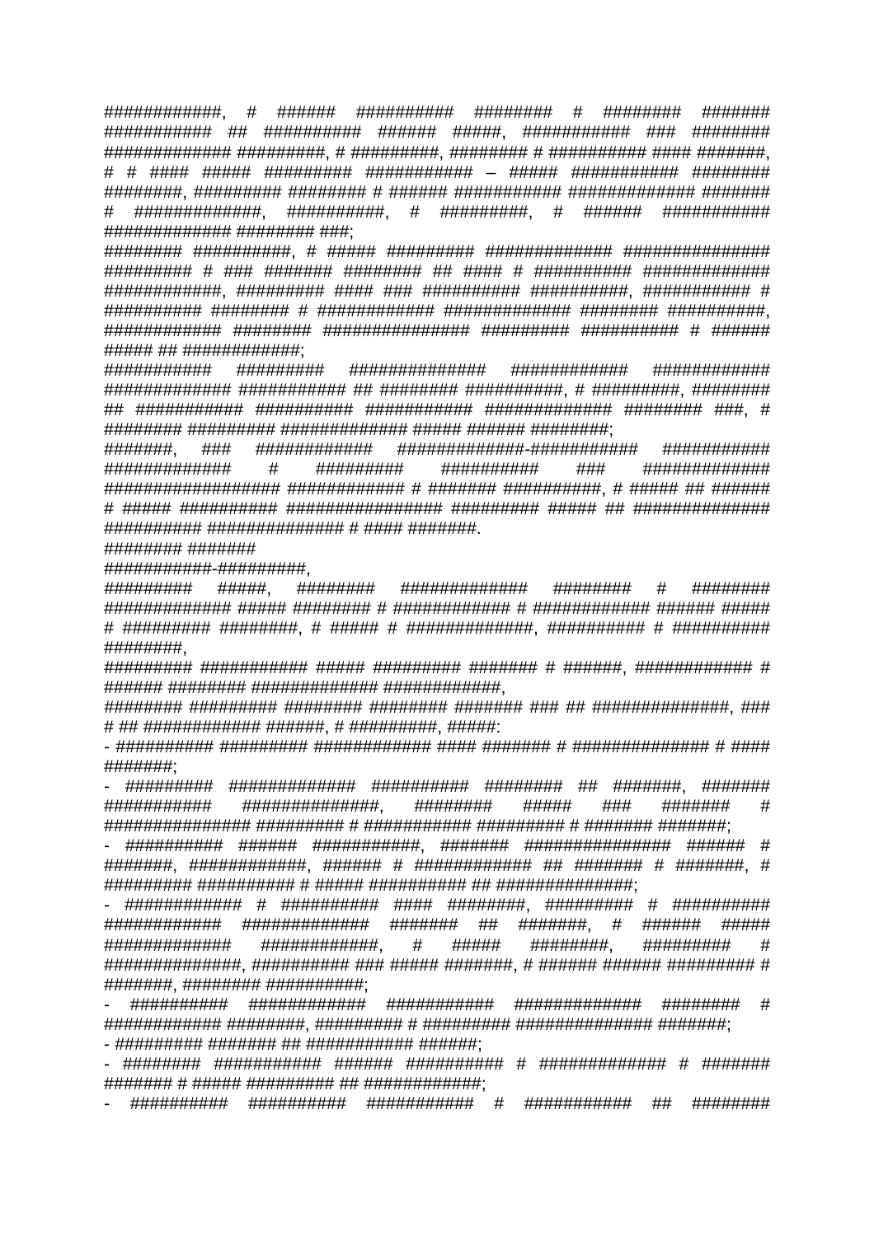############## ######### ###

##### ## #############

############## 

######### ########

############-###########

######## #########

#######

#############, # ##### ############# ######### #########  $#$ ########. ######### ############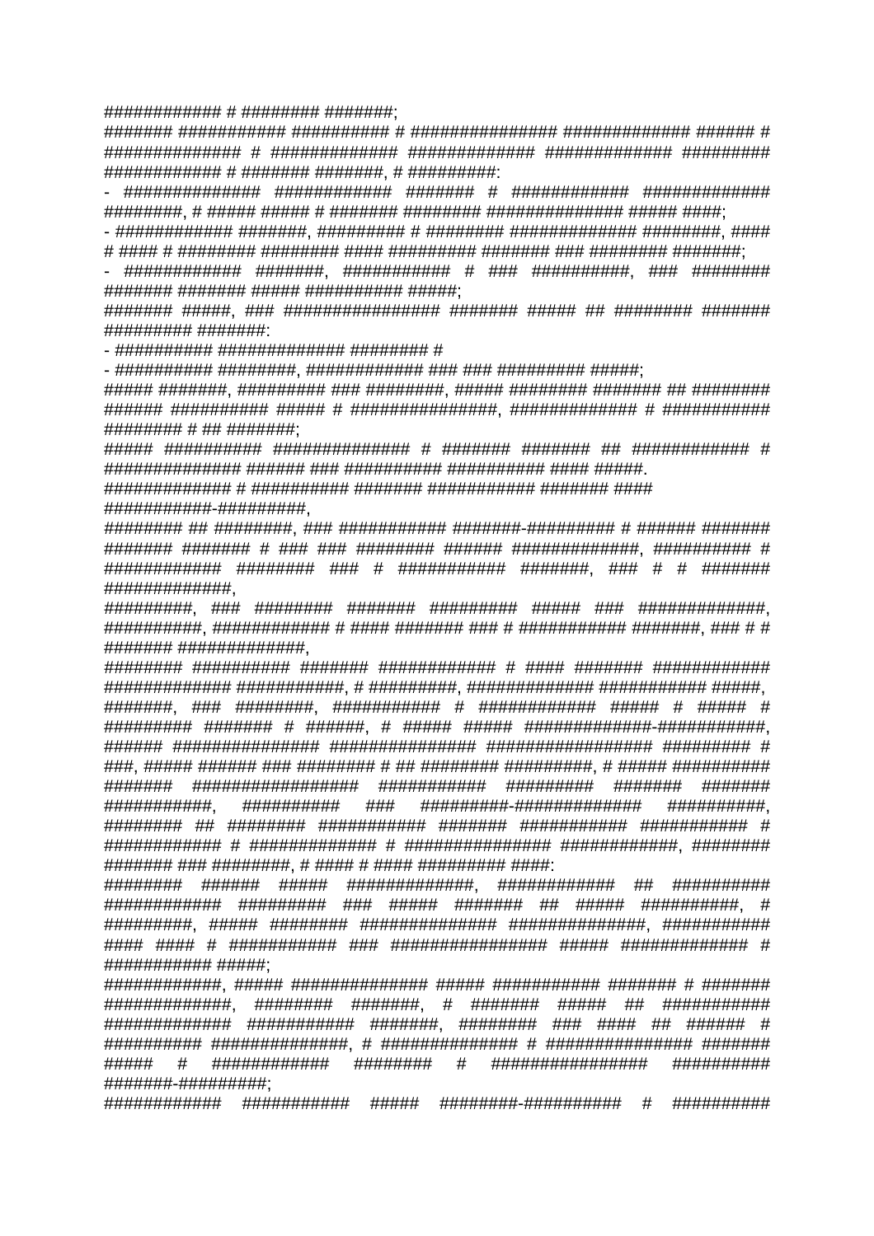############# # ######### ########

########## ########

- ########### ############## ######## #

######### # ## ########

############-###########

#############

######## ##############

############ #####

##### # #######+-##########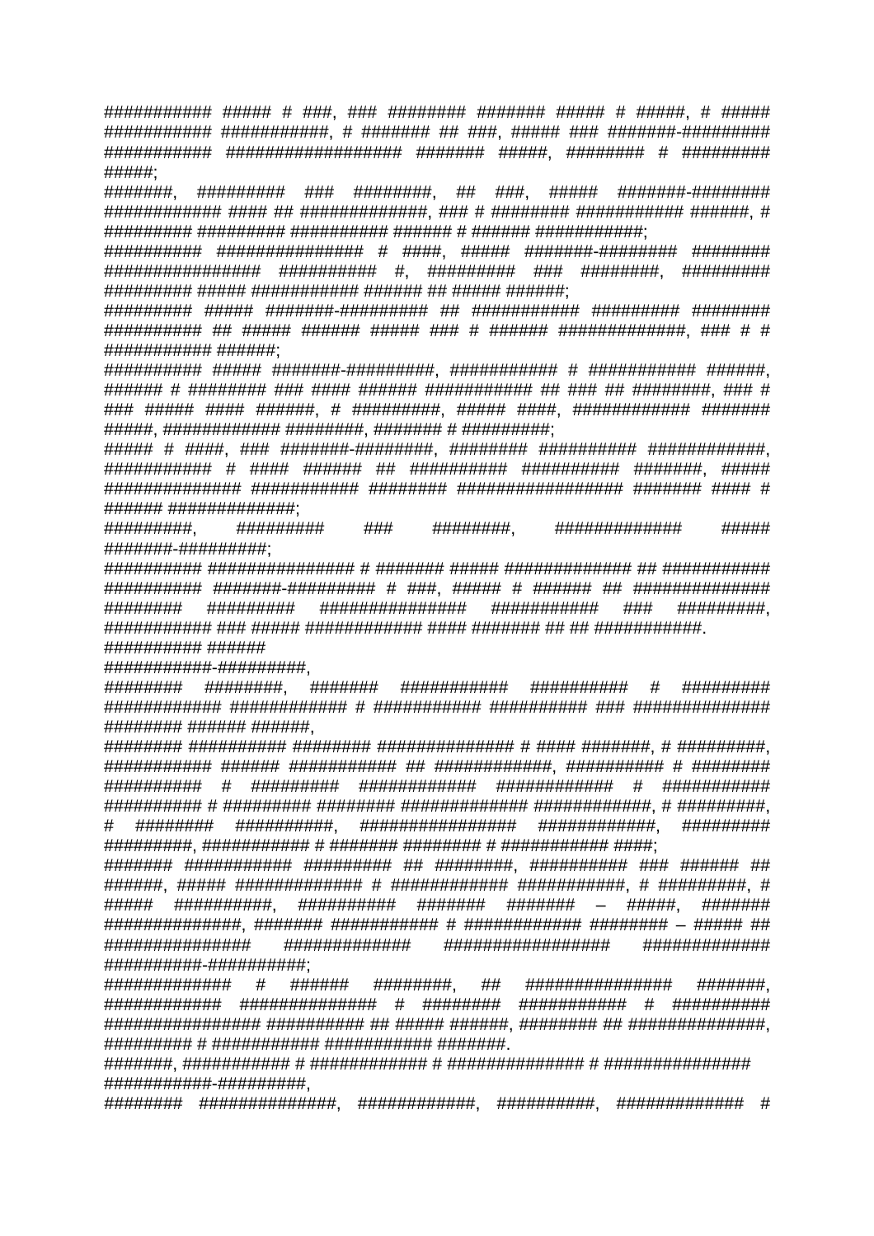#####:

############ #######

###### #############

######### ############# ##### #######+#########

########### ######

############-##########

######### ###### #######

############### ###########-###########

############-###########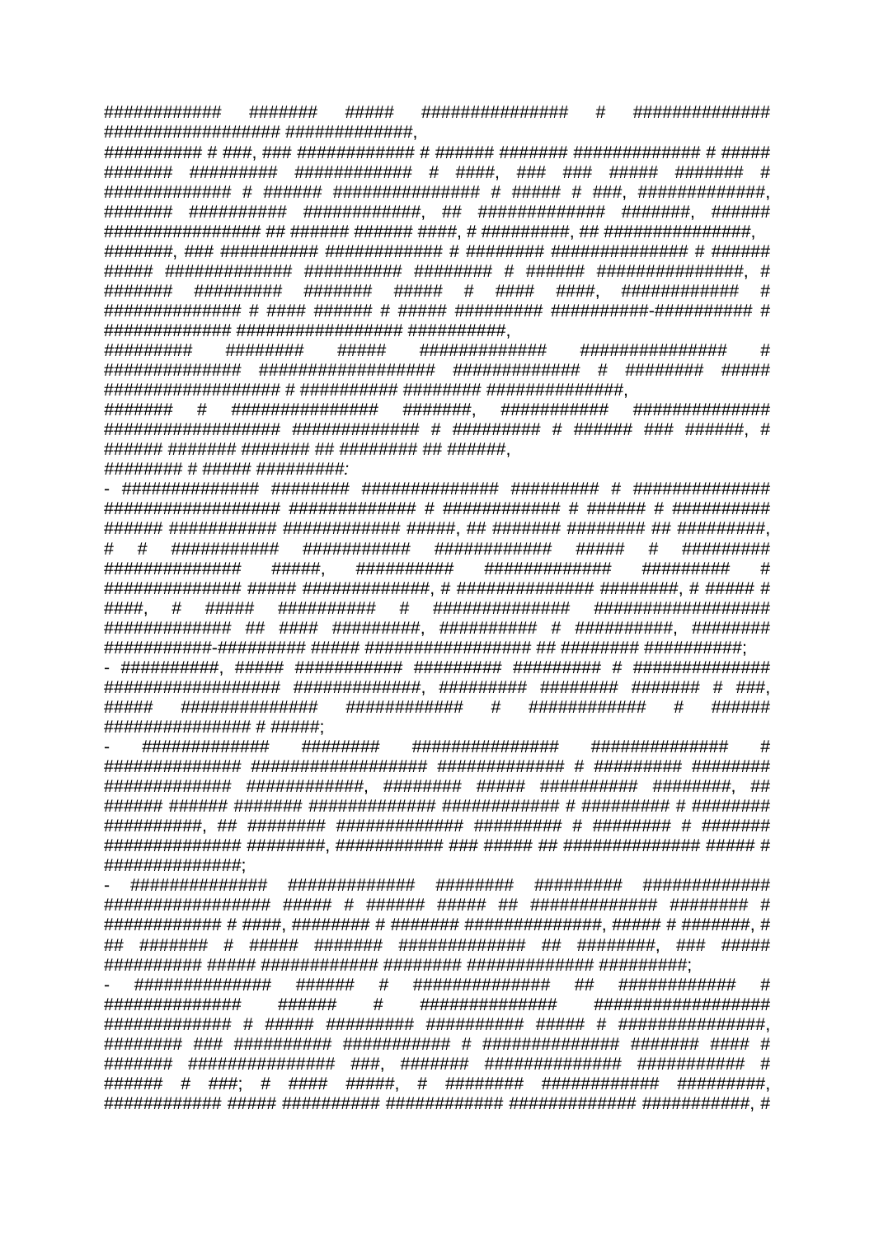################### ##################

######## ##### ############# ########## ###############  $#$ 

################ # #####

############# ######## ############### ############## ##############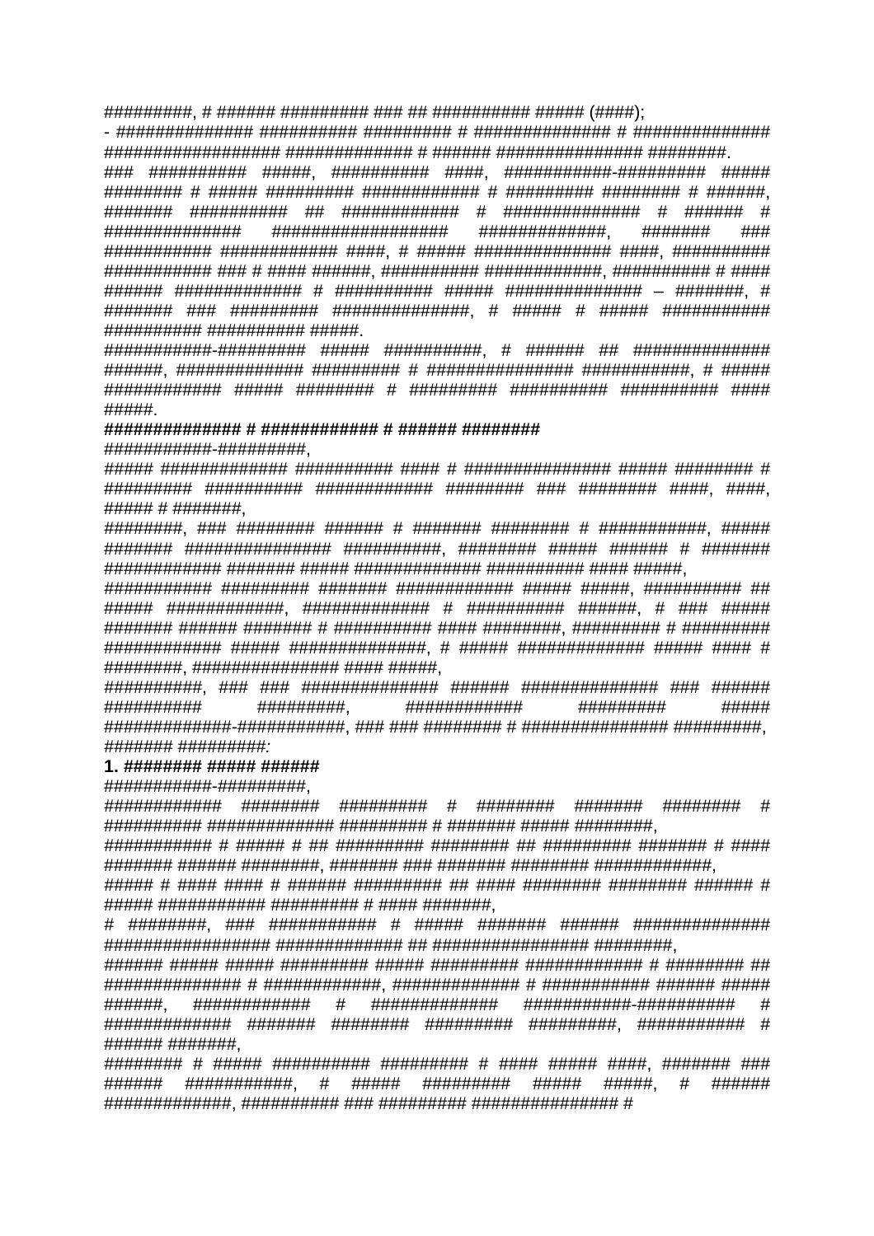############# #######  $#HH$ ########### ########### ######

#####

#### 

############-###########

##### # ########

########## ##### ####### ##########

### 1.####################

###########+#########

 $#$ ###### #######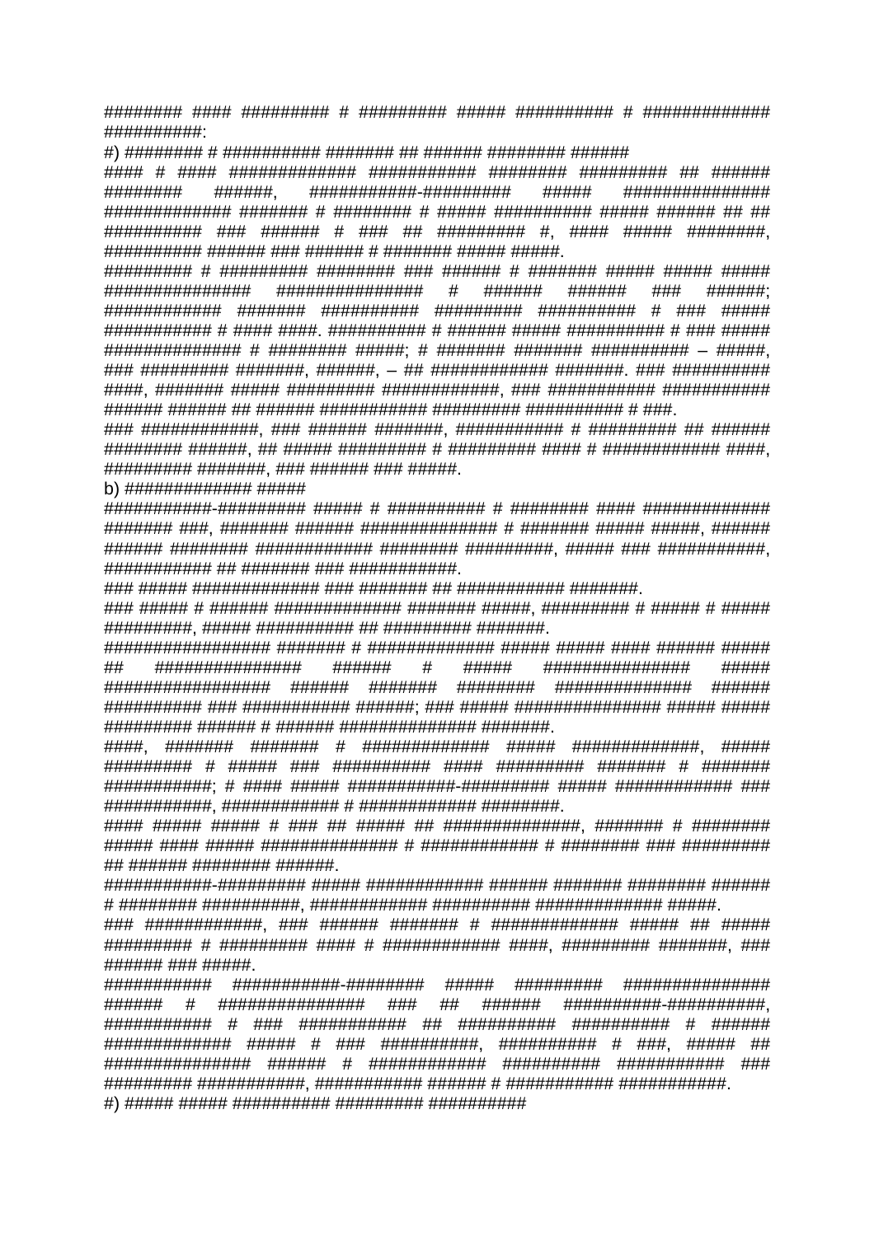###########

############-########## ######## ######. ##### ############### 

###### ### ############### ######<sup>.</sup> 

b) ############## #####

## ##### 

## ###### ######### #######

###### ### #####

########## ################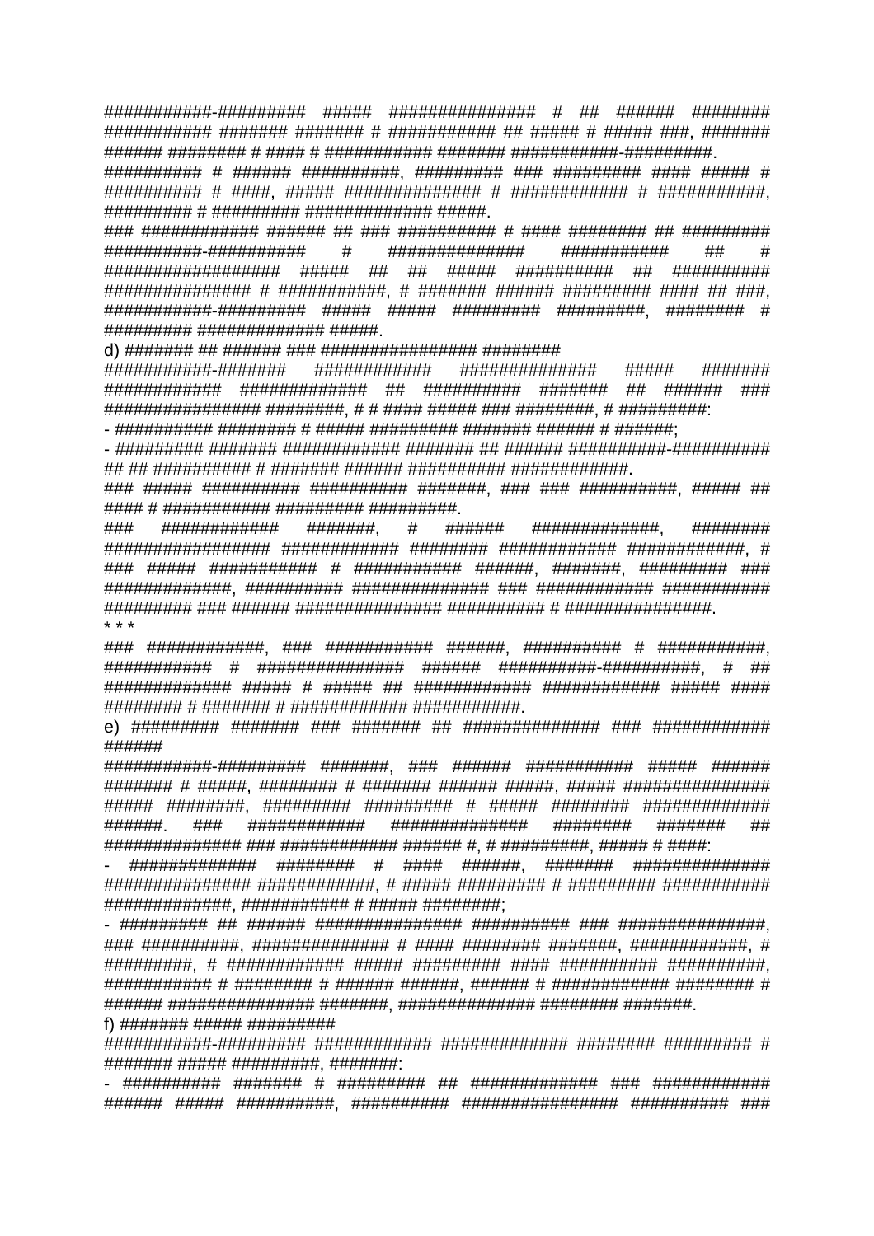########### ##  $#$ ########## ############## ######

###########+####### 

### ############ ########  $+ + +$ 

######

 $f)$  ######## ##### ##########

######## ##### ########## ########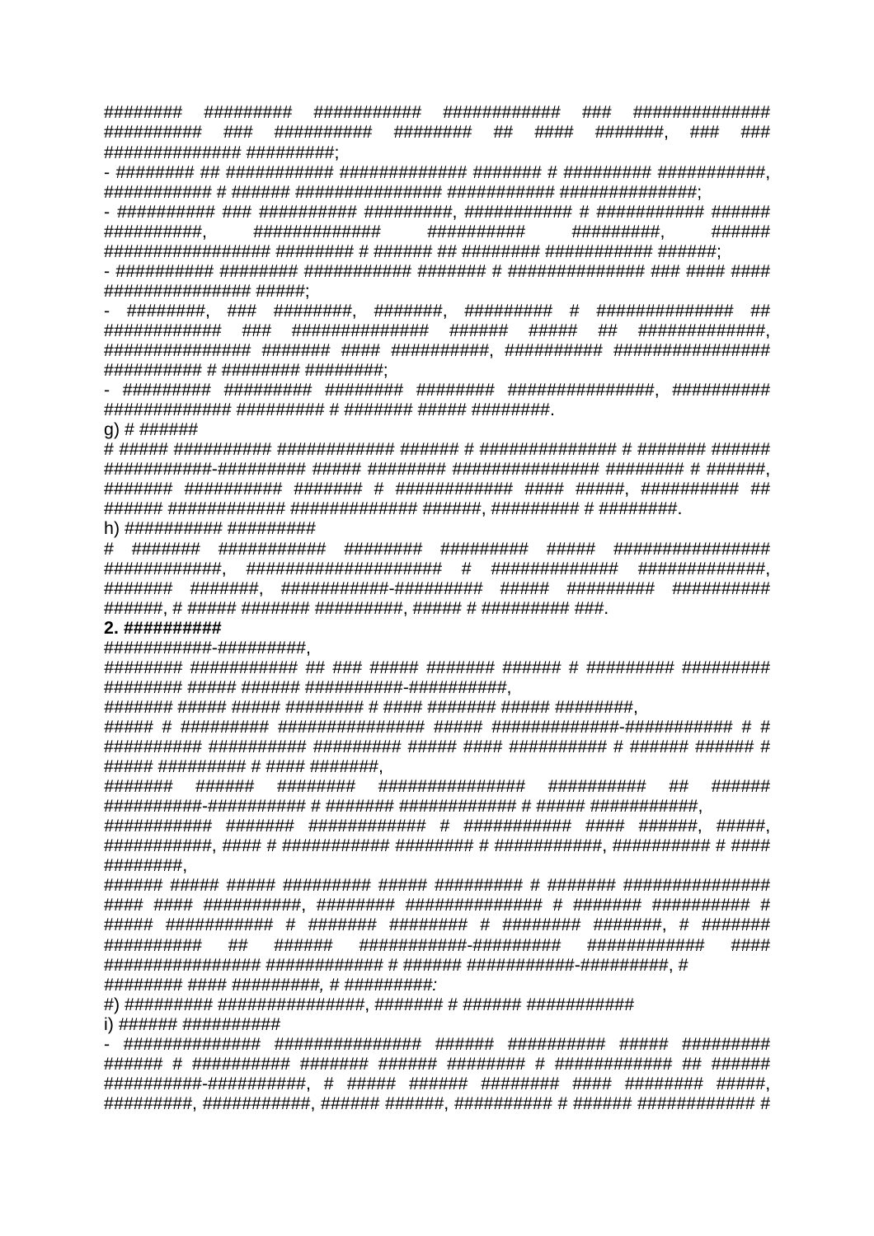##########################

########### ############# ########## ########## ###### 

################ #####

########### # ######### #########

 $a)$  # ######

### 2. ##########

############-###########

##### ########## # #### #######

########## ## ###### 

########

########## ## ###### ############-########## ############ #### 

i) ###### ###########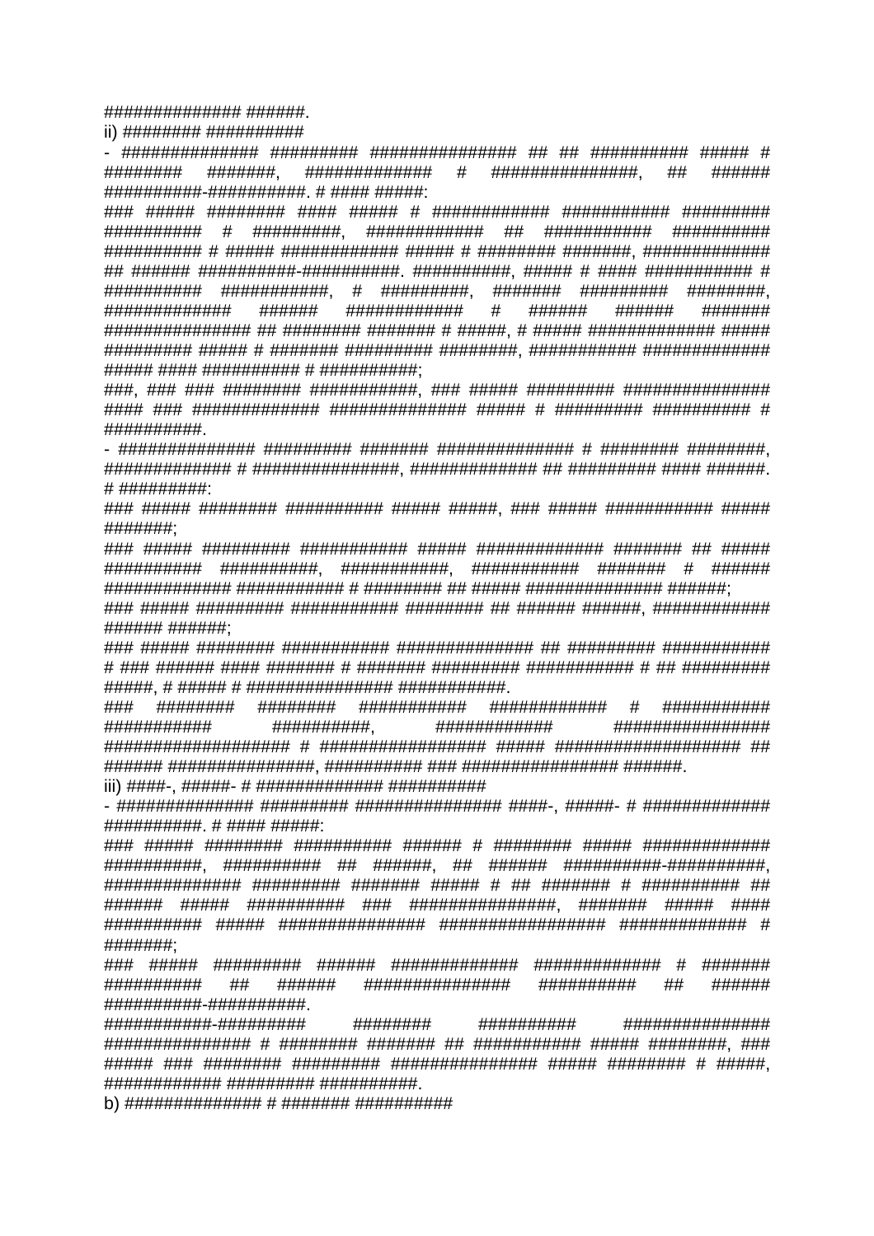############### #######

ii) ######### ###########

####### ######## ###########-########### # #### ######

####### ##### #### ########### # ###########

##########

##########

#######

###### ######

########### ###########. 

###########\_# #### #####:

#######

###########-############

###########+######### ######## ########## ############### ############# ########## ###########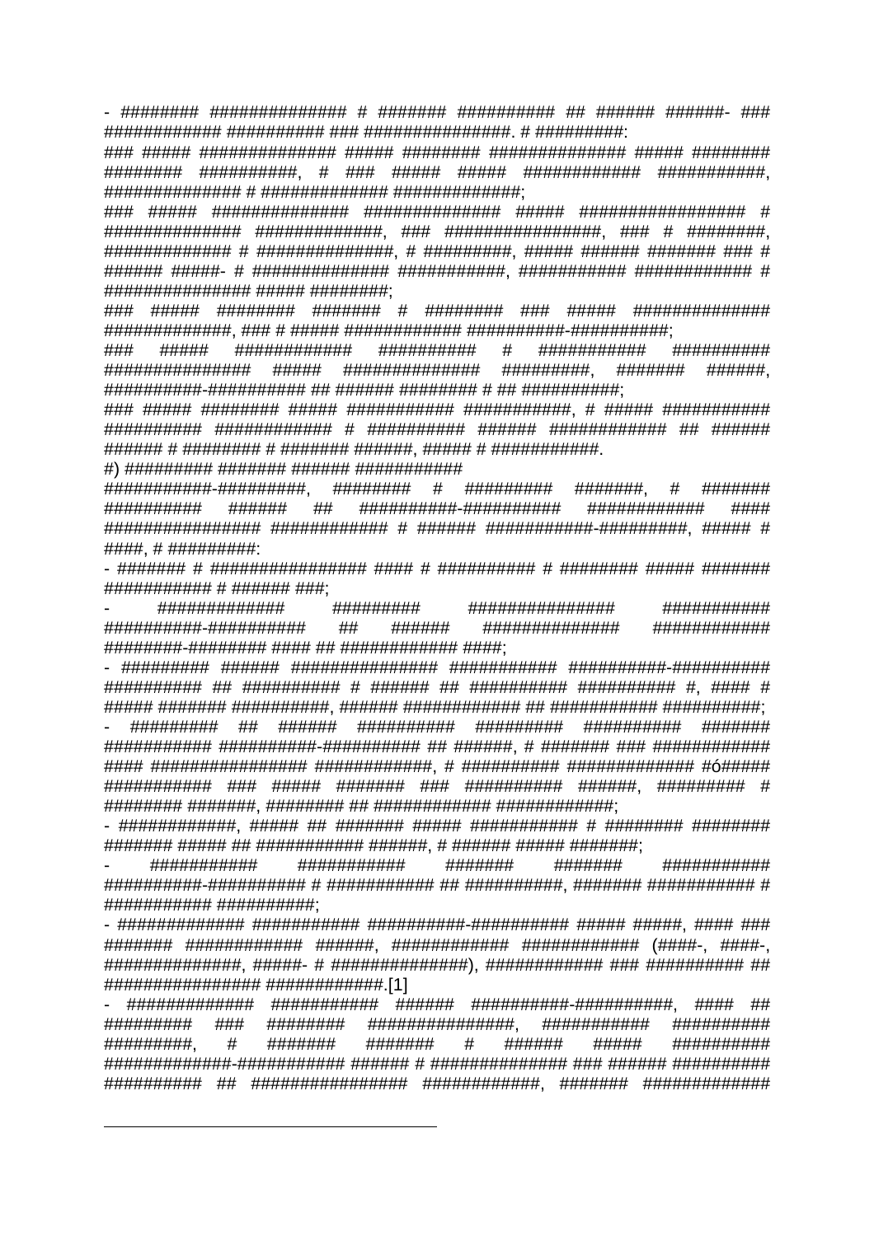################ ##### #########

####\_#\_#########

############ # ####### ###

############# ############### ######### ########### ##########+########## ## ###### 

######## ####### ########### ############ ############

#################################

##### ########## # ####### ####### # ###### ##########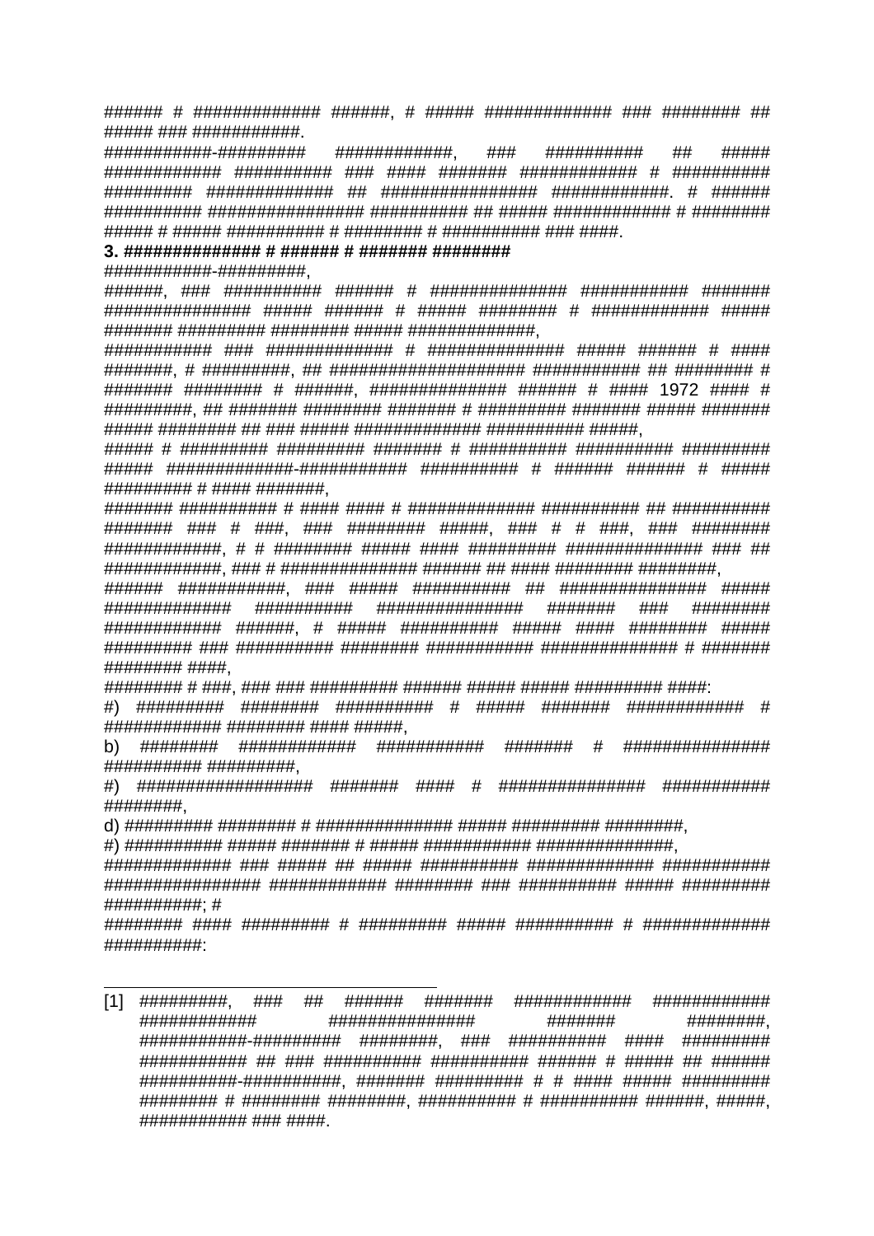##### ### ############

### ########### ## ##### 

#### 

############-###########

########## # #### ########

######### ####

############# ######### #### ######.

########### ###########

########.

###########: #

##########

<sup>############</sup> ############### ####### ######## ############ ### ####.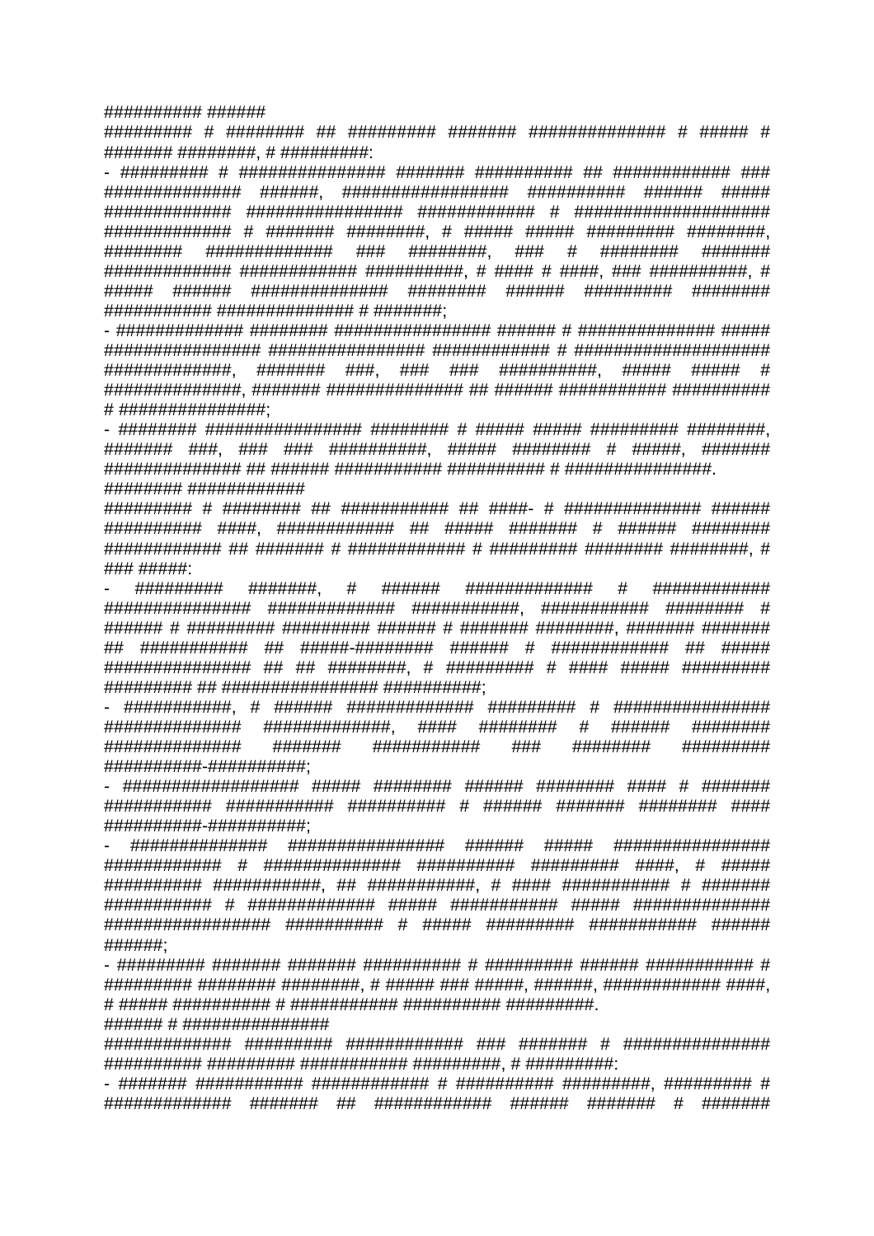#################

######## #########. # ###########:

################

######### #############

### #####:

########## ########  $#$ ###### #############  $#$ ############ 

############## ####### ##########+##########

###########-############

 $\# \# \# \# \# \# \cdot$ 

###### # ###############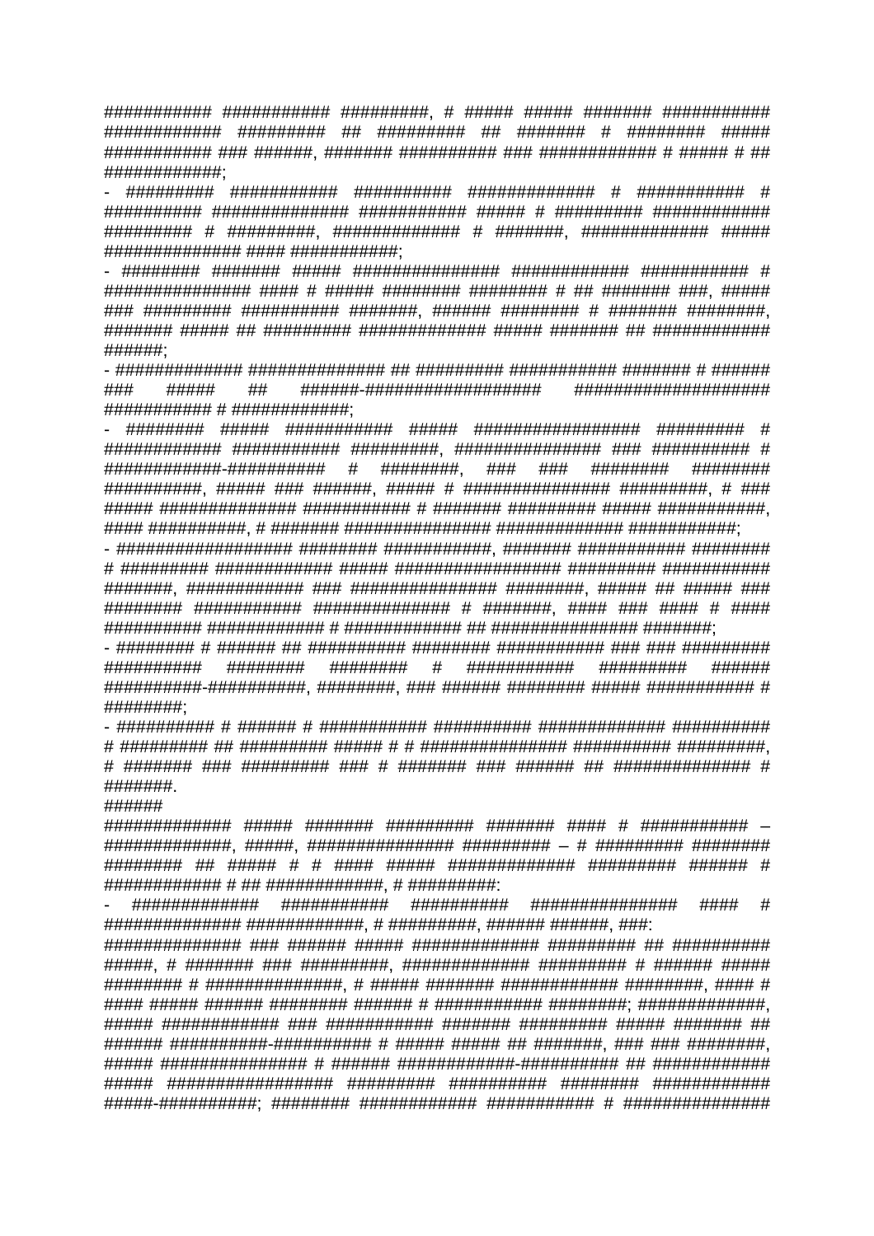#############

############### #### ############

######·

### ##### ## #############################

########## #########

#######

#### ######

################ ####  $#$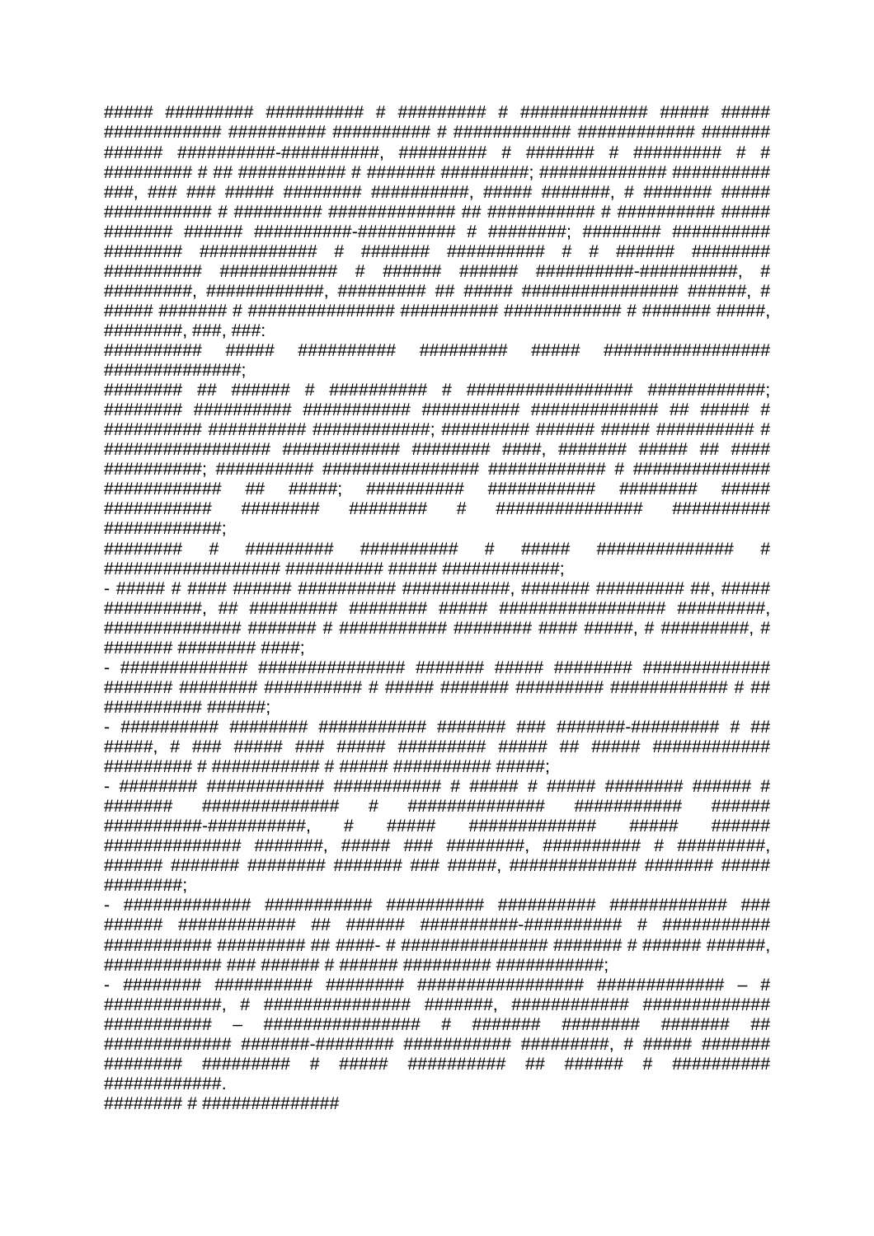#########\_###\_###:

##############

##### ############

########## ########### # ##### ############## ######### #  $#$ 

######## ######### ####

########### #######

###########-############ # ##### ############# ##### ###### #########

 $H$ ############

######### # ################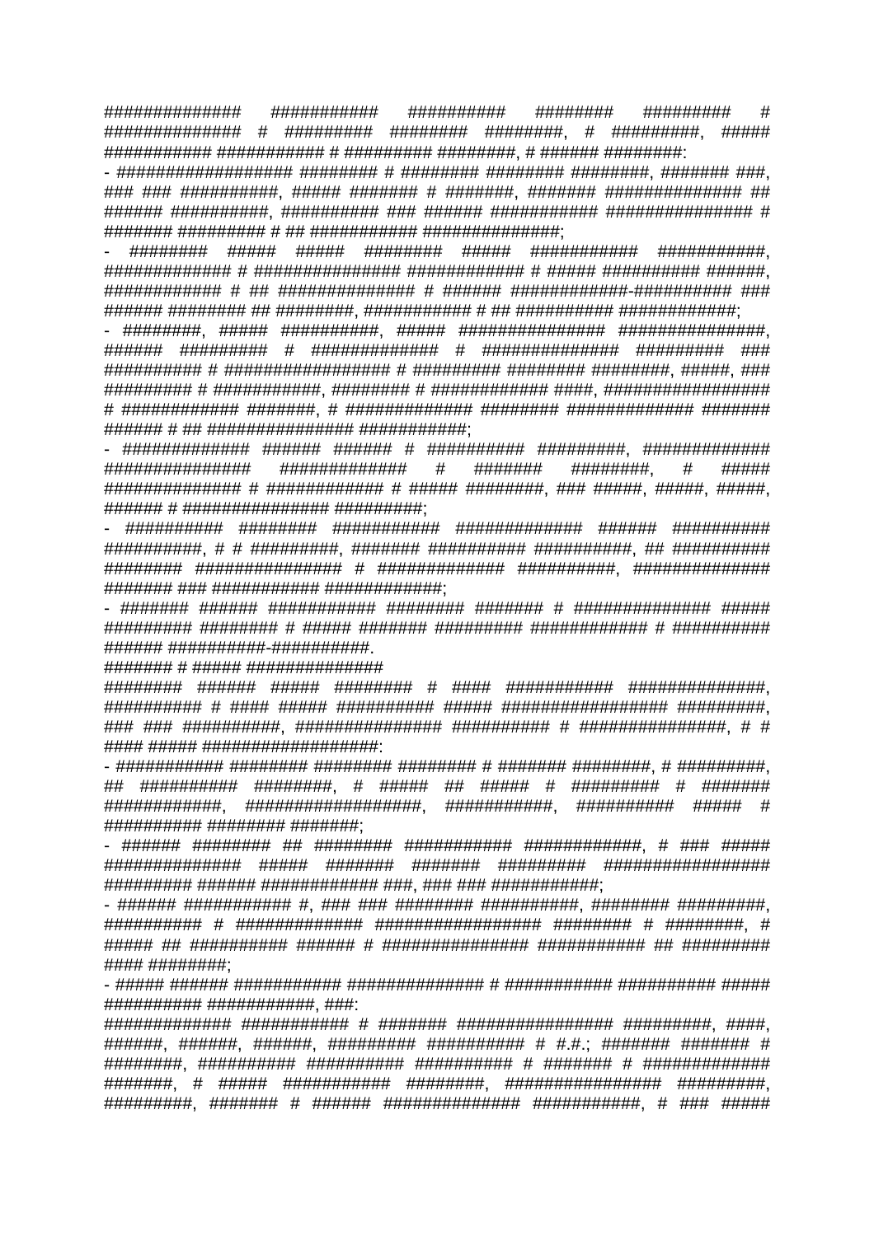############### ####### # ################ ##########

####### ##########+##############

#### ##### ###################

########### ######## ########

#### #########

########### #############. ###: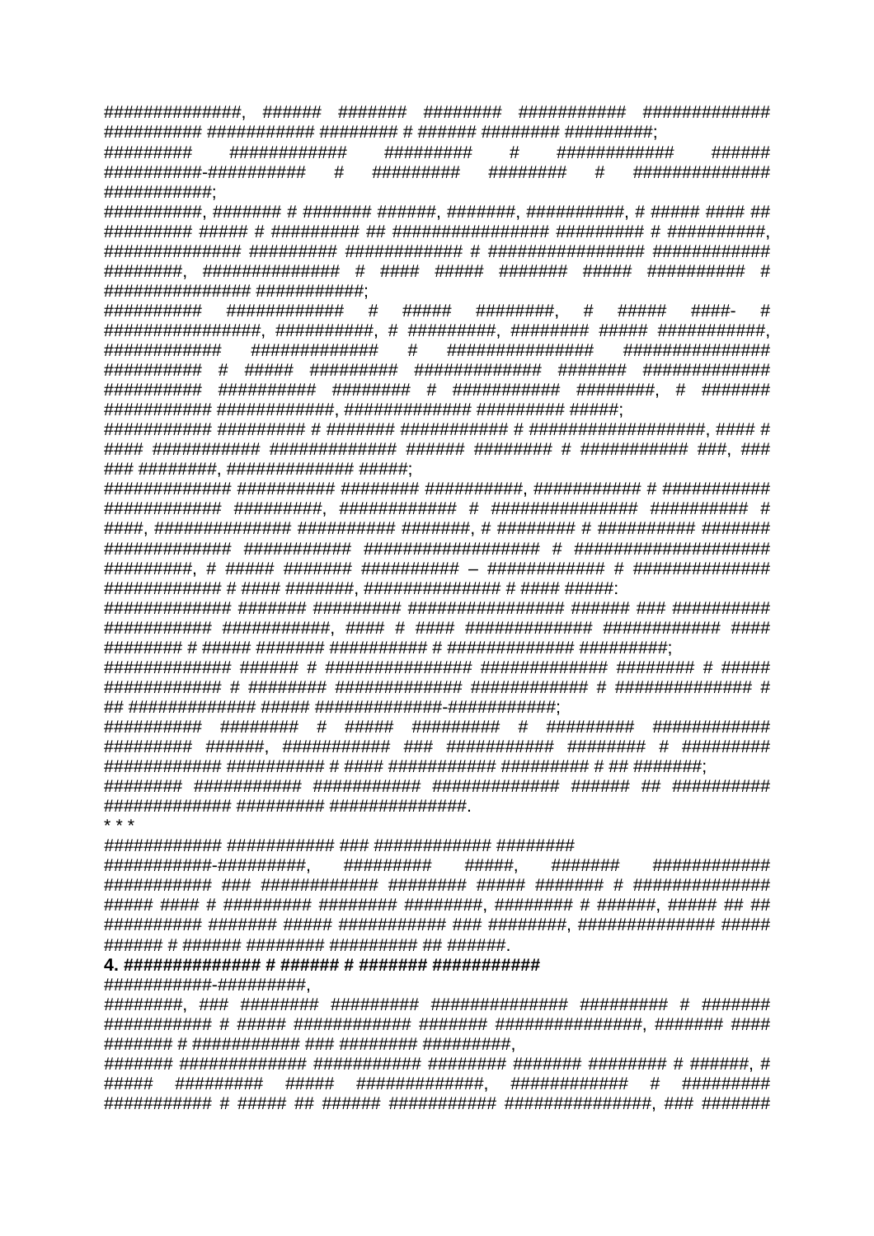######### ###### ###########

#############################

### #########\_############## ######

 $+ + +$ 

### 

### 

############-###########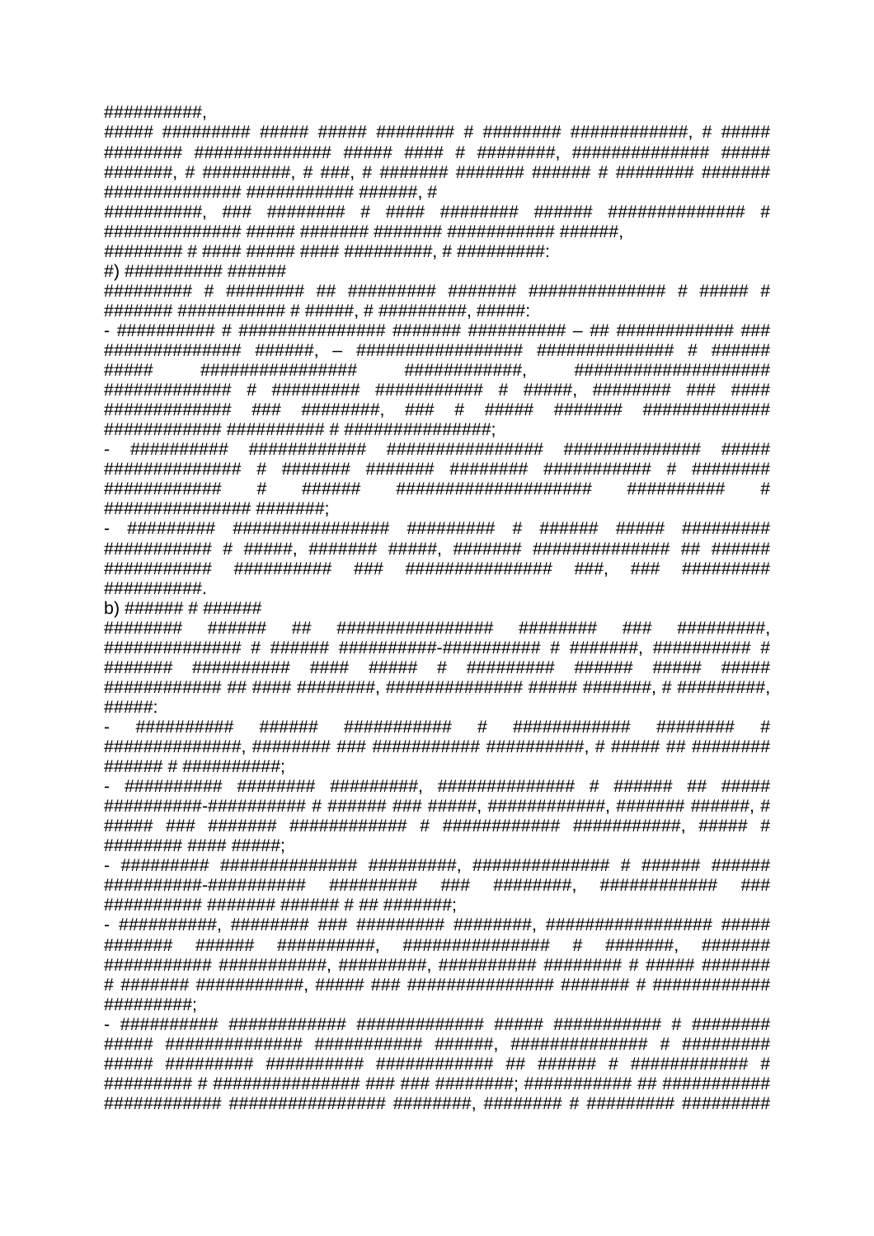##########

#)#################

############. ################ #################### ##### 

#####  $#$ ############  $#$ ################ ########

###########

b)  $\#$ ###### # #######

### ########## #####:

####### ############ # ############## ########## ########  $#$ ###### # ###########

######### #### #####

### 

####### ########### *####### #######* ##########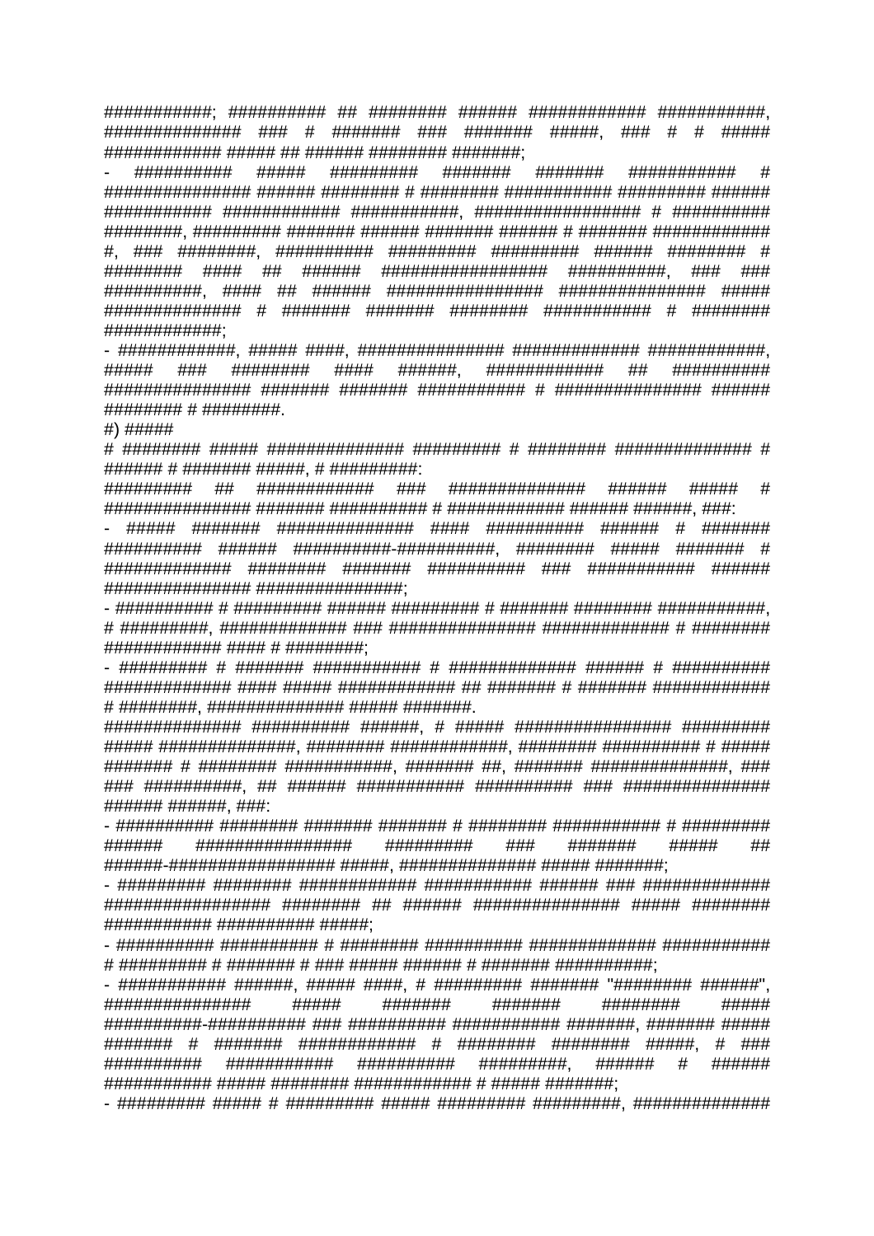$#$ ############

######### # #########

 $#$ ) #####

########## ## ############# ### 

################ ################

############# #### # #########

####### #######. ###:

*######* ################ ######### ### ####### ##### ## 

############ ########### #####

#####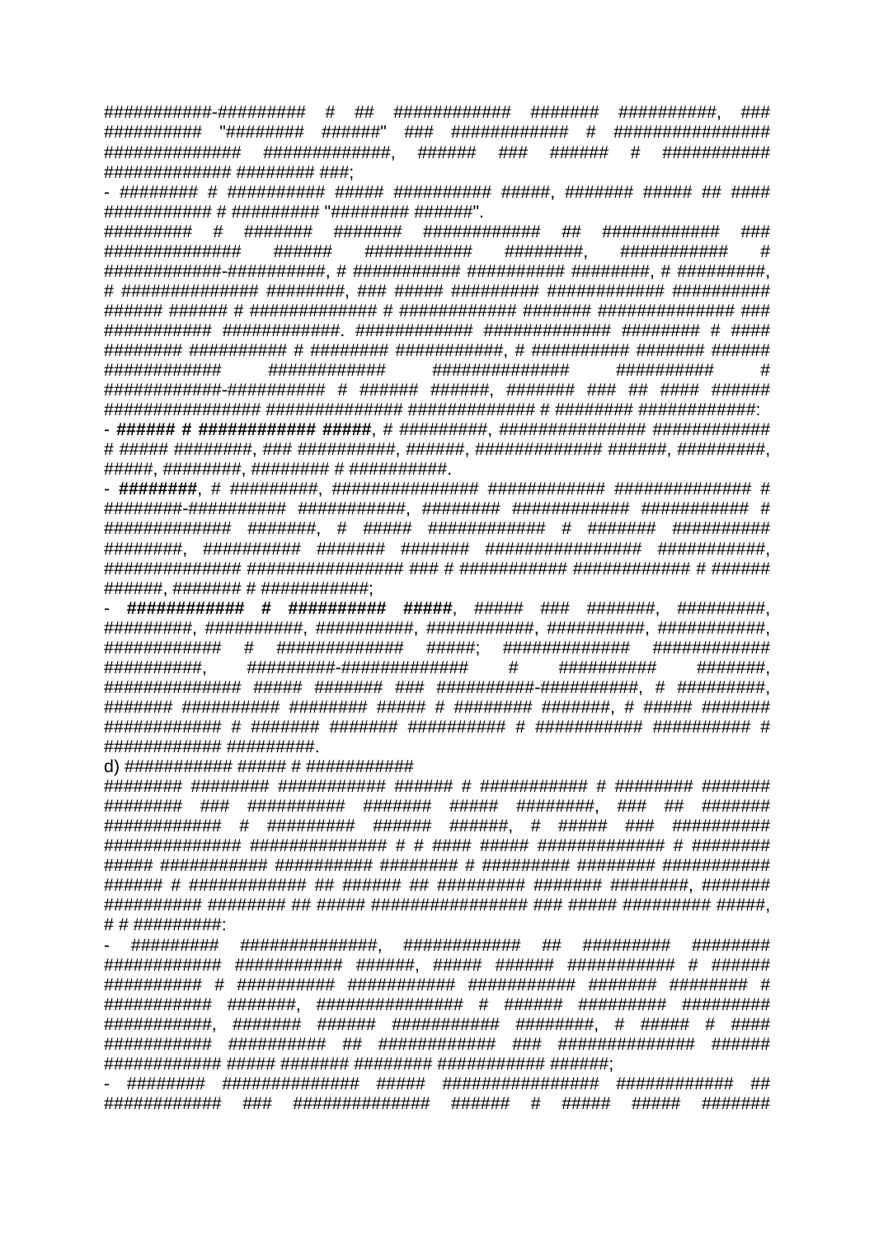############## ######### ###

########### ######## ###########  $#$ ############ ############ 

#######\_########\_#\_#############

 $#$ ########## ####### ############# ###########

###########

############# ## ######### ########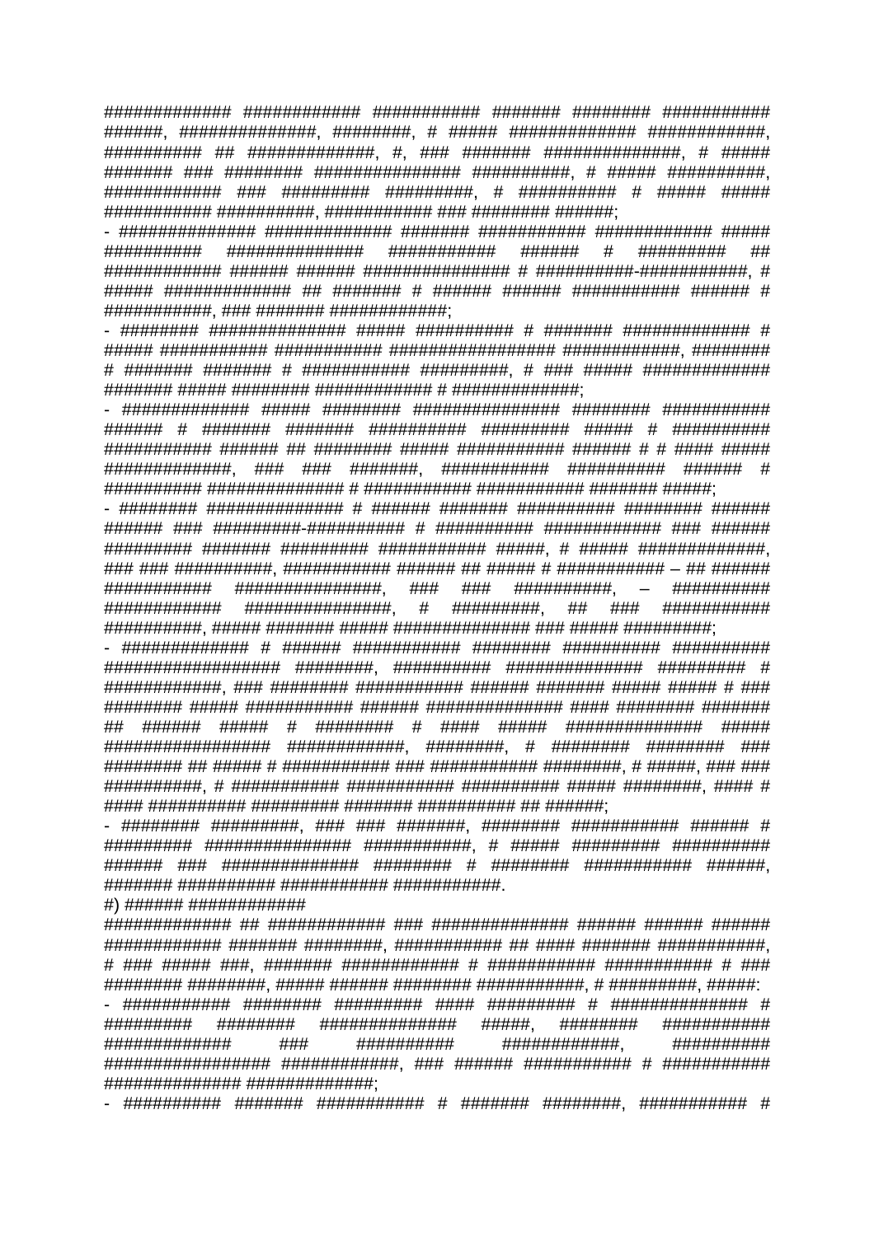## 

#)###################

########## ############# ### ############ *##########* ############### ################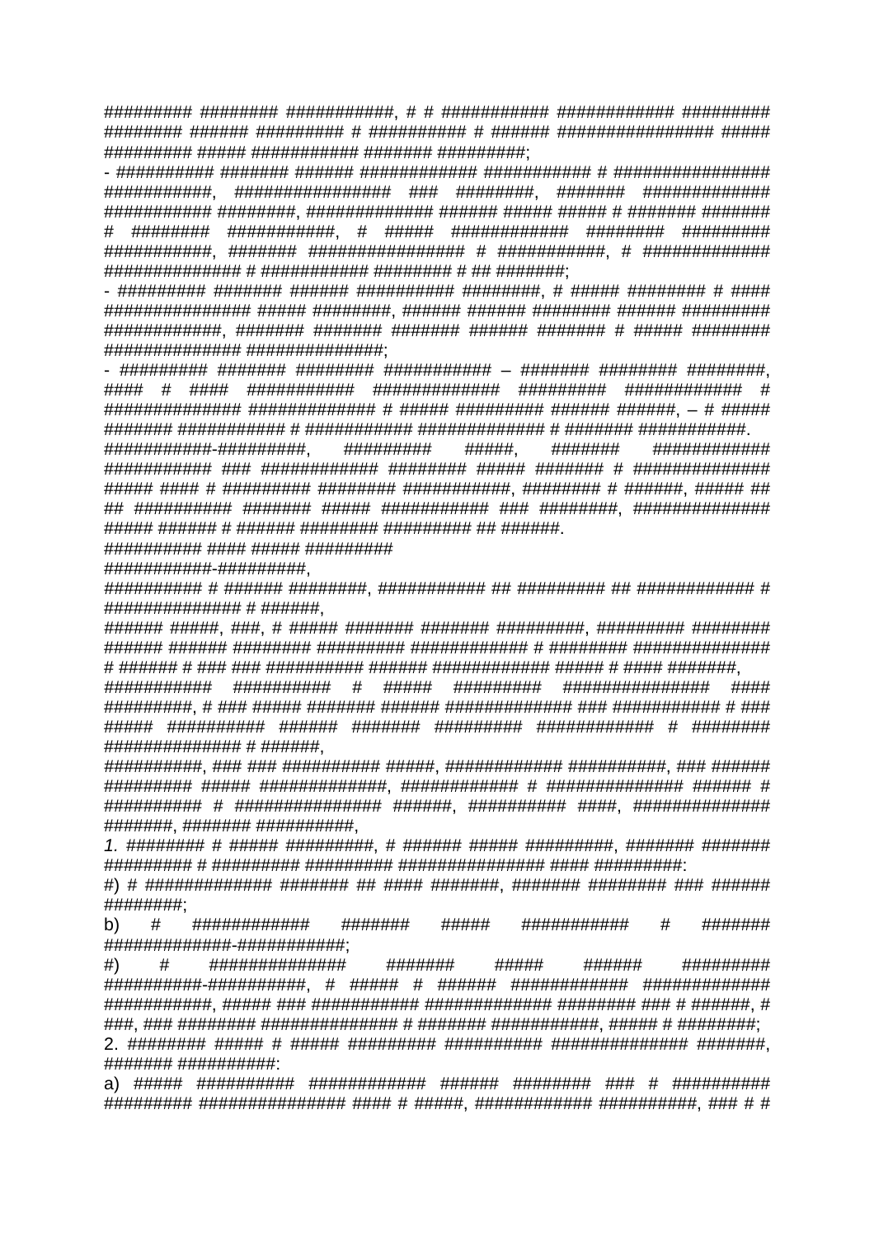############### ###############

############-########### ######### #####. ####### ############ 

###########+-##########

############### # #######.

############### # #######

########. ######## ############.

#########

 $h)$  $#$ ############ ##############-############

############## ######## ##### ###### #########  $#$  $#$ 

######## ###########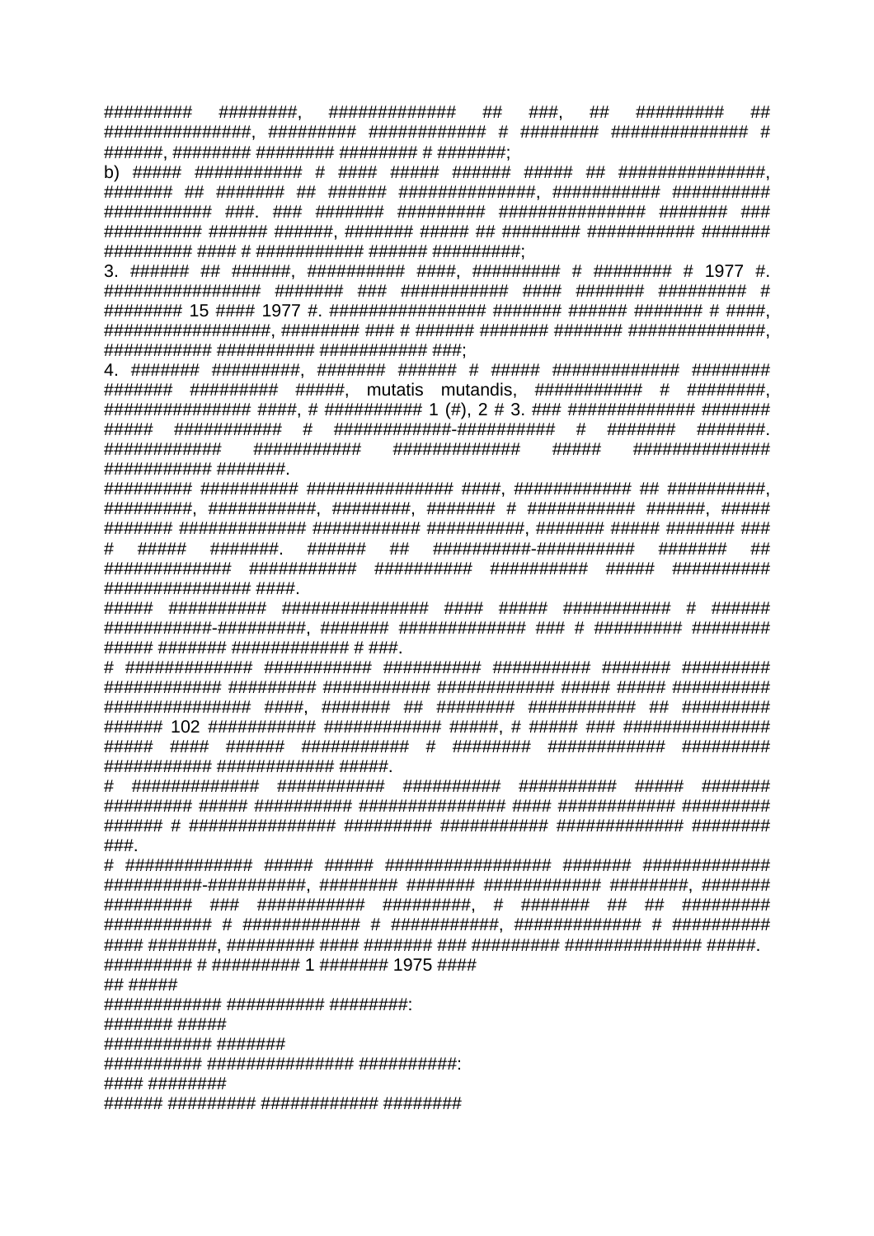############ ########### ############ ###

######## ########## ######, mutatis mutandis, ########## # ##########, ############ ############ ########

 $#H$ ################ ####

##### ######## ############# # ###.

############ ############# ######

 $\# \# \#$ 

########## # ########## 1 ######## 1975 ####

## ##### ############# ########### ########## ############ ############ ######## #### ########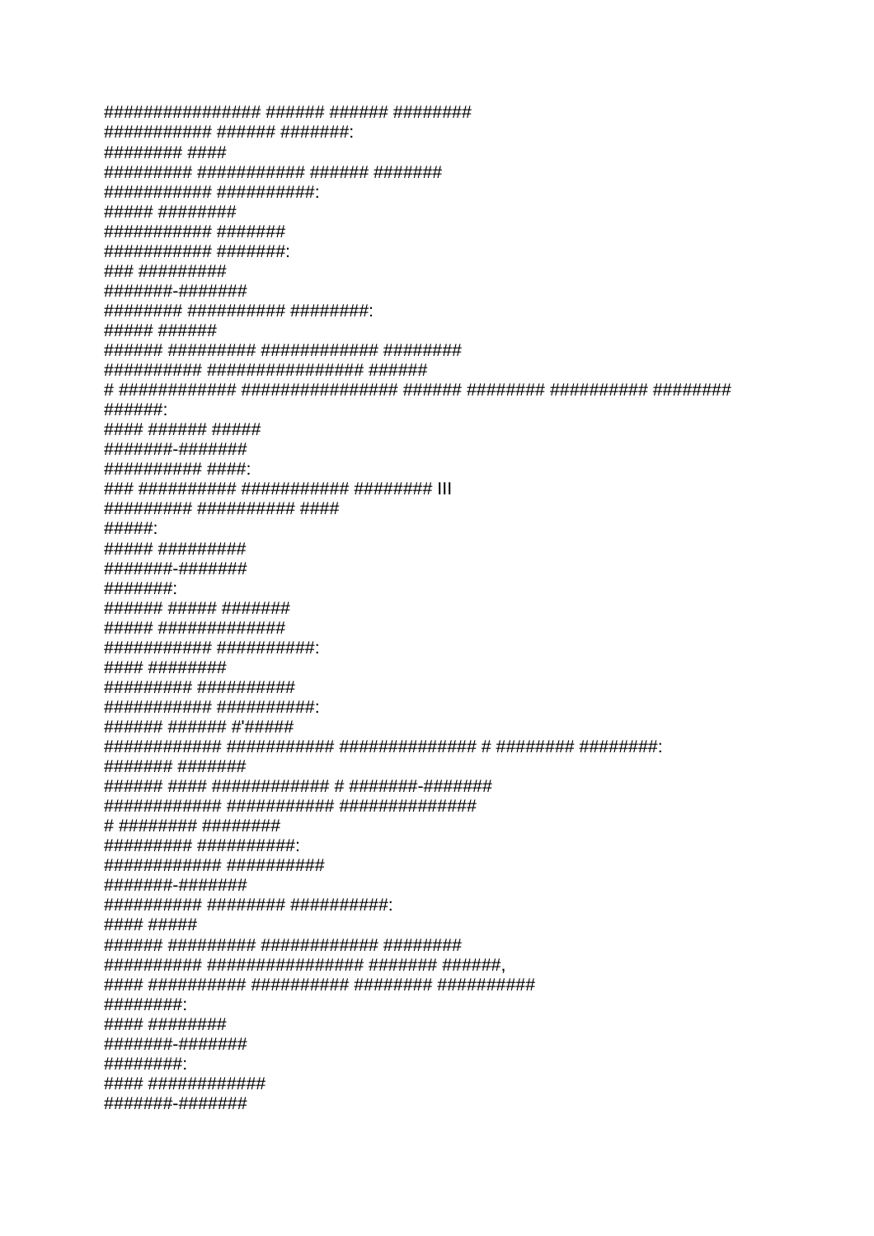############ ###### ######## ############# ############ ############ ##### ######## ############ ######## ############ ######## ### ######### #######+####### ######### ########### ########## ##### ###### ########### ################# ####### ###### #### ###### ##### #######+####### ########### ####: ### ########### ############ ######## III ########## ########### #### ##### ##### ######### #######+####### ####### ###### ##### ####### ##### ############# ############ ############ #### ######## ########## ########### ############ ############ ###### ###### #'##### ############## # ######### ######### ########## ########### ############# ########### #######+###### ########### ######### ############ #### ##### #########: #### ######## #######+###### ######### #### ############ #######+######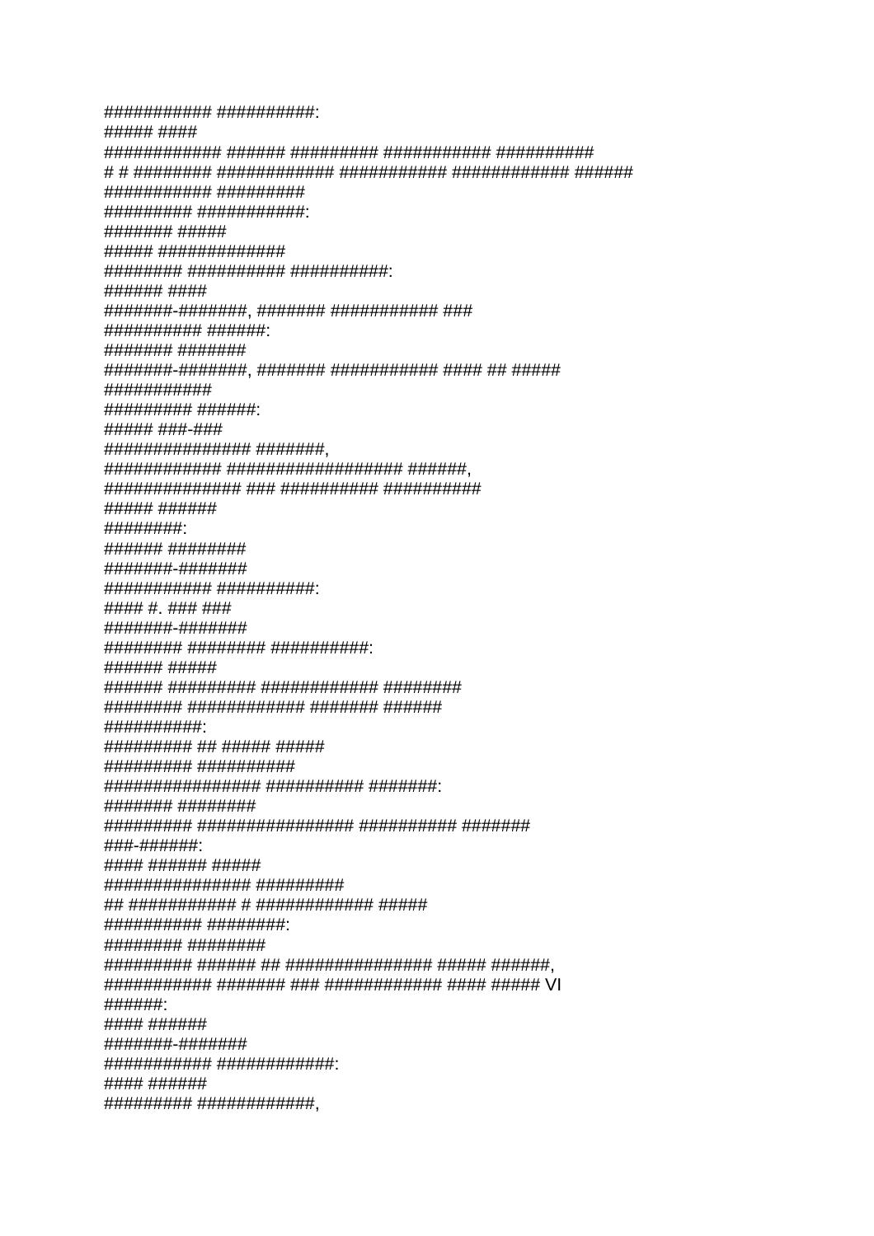############ ########### ##### #### ############ ########## ########## ############# ############ ##### ############# ######### ########### ############ ###### #### #######+-########, ######## ########### ### ########### ####### ######## ######## ########### ########## #######: ##### ###-### ################ ######## ##### ###### ######### ###### ######## #######+####### ############ ############ #### #. ### ### #######+###### ######### ######## ############ ####### ###### ########### ########## ## ##### ##### ########## ########### ############### ###-###### #### ###### ##### ################ ########## ## ############ # ############# ##### ########### ######### ######### ######### ######: #### ###### #######+###### ############ ############## #### ###### ########## ##############